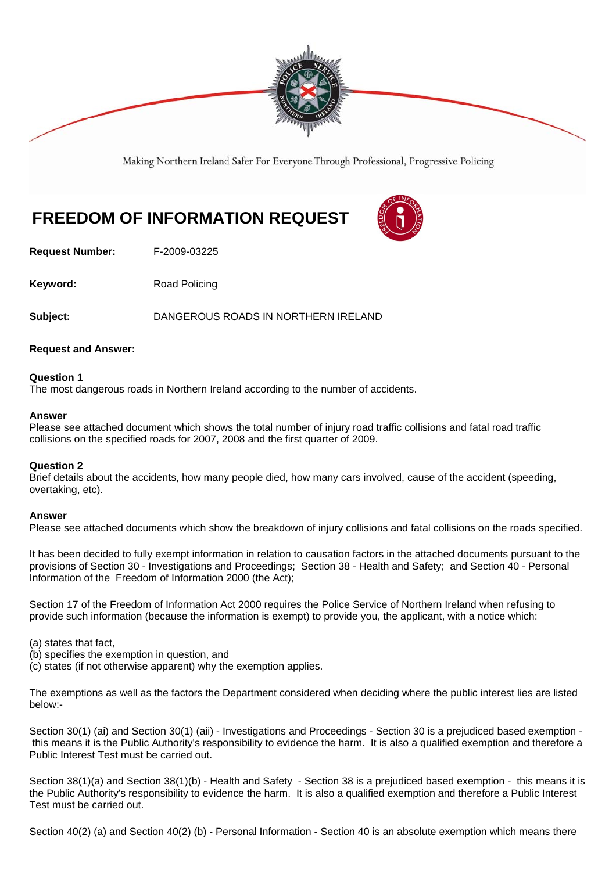

Making Northern Ireland Safer For Everyone Through Professional, Progressive Policing

# **FREEDOM OF INFORMATION REQUEST**

**Request Number:** F-2009-03225

**Keyword:** Road Policing

**Subject:** DANGEROUS ROADS IN NORTHERN IRELAND

#### **Request and Answer:**

#### **Question 1**

The most dangerous roads in Northern Ireland according to the number of accidents.

#### **Answer**

Please see attached document which shows the total number of injury road traffic collisions and fatal road traffic collisions on the specified roads for 2007, 2008 and the first quarter of 2009.

#### **Question 2**

Brief details about the accidents, how many people died, how many cars involved, cause of the accident (speeding, overtaking, etc).

#### **Answer**

Please see attached documents which show the breakdown of injury collisions and fatal collisions on the roads specified.

It has been decided to fully exempt information in relation to causation factors in the attached documents pursuant to the provisions of Section 30 - Investigations and Proceedings; Section 38 - Health and Safety; and Section 40 - Personal Information of the Freedom of Information 2000 (the Act);

Section 17 of the Freedom of Information Act 2000 requires the Police Service of Northern Ireland when refusing to provide such information (because the information is exempt) to provide you, the applicant, with a notice which:

(a) states that fact,

- (b) specifies the exemption in question, and
- (c) states (if not otherwise apparent) why the exemption applies.

The exemptions as well as the factors the Department considered when deciding where the public interest lies are listed below:-

Section 30(1) (ai) and Section 30(1) (aii) - Investigations and Proceedings - Section 30 is a prejudiced based exemption this means it is the Public Authority's responsibility to evidence the harm. It is also a qualified exemption and therefore a Public Interest Test must be carried out.

Section 38(1)(a) and Section 38(1)(b) - Health and Safety - Section 38 is a prejudiced based exemption - this means it is the Public Authority's responsibility to evidence the harm. It is also a qualified exemption and therefore a Public Interest Test must be carried out.

Section 40(2) (a) and Section 40(2) (b) - Personal Information - Section 40 is an absolute exemption which means there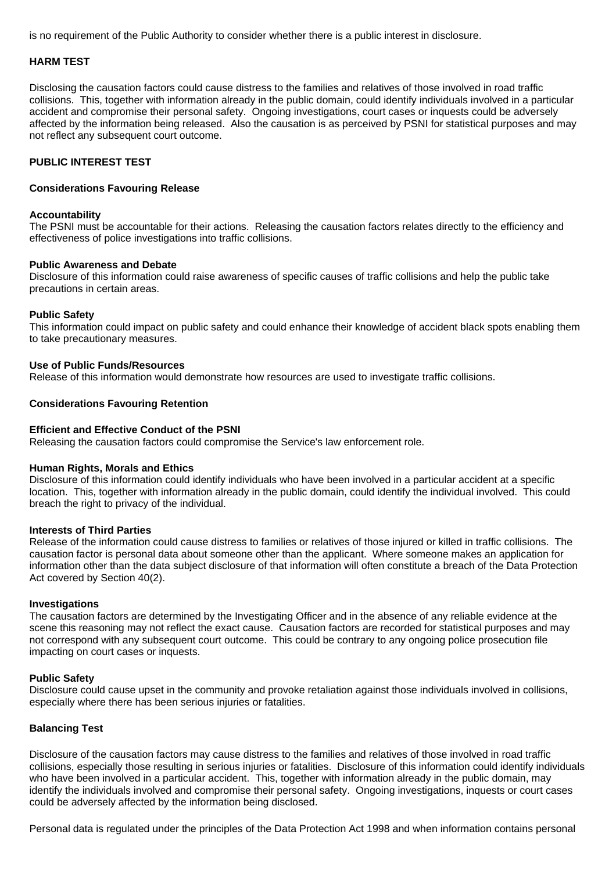is no requirement of the Public Authority to consider whether there is a public interest in disclosure.

#### **HARM TEST**

Disclosing the causation factors could cause distress to the families and relatives of those involved in road traffic collisions. This, together with information already in the public domain, could identify individuals involved in a particular accident and compromise their personal safety. Ongoing investigations, court cases or inquests could be adversely affected by the information being released. Also the causation is as perceived by PSNI for statistical purposes and may not reflect any subsequent court outcome.

#### **PUBLIC INTEREST TEST**

#### **Considerations Favouring Release**

#### **Accountability**

The PSNI must be accountable for their actions. Releasing the causation factors relates directly to the efficiency and effectiveness of police investigations into traffic collisions.

#### **Public Awareness and Debate**

Disclosure of this information could raise awareness of specific causes of traffic collisions and help the public take precautions in certain areas.

#### **Public Safety**

This information could impact on public safety and could enhance their knowledge of accident black spots enabling them to take precautionary measures.

#### **Use of Public Funds/Resources**

Release of this information would demonstrate how resources are used to investigate traffic collisions.

#### **Considerations Favouring Retention**

#### **Efficient and Effective Conduct of the PSNI**

Releasing the causation factors could compromise the Service's law enforcement role.

#### **Human Rights, Morals and Ethics**

Disclosure of this information could identify individuals who have been involved in a particular accident at a specific location. This, together with information already in the public domain, could identify the individual involved. This could breach the right to privacy of the individual.

#### **Interests of Third Parties**

Release of the information could cause distress to families or relatives of those injured or killed in traffic collisions. The causation factor is personal data about someone other than the applicant. Where someone makes an application for information other than the data subject disclosure of that information will often constitute a breach of the Data Protection Act covered by Section 40(2).

#### **Investigations**

The causation factors are determined by the Investigating Officer and in the absence of any reliable evidence at the scene this reasoning may not reflect the exact cause. Causation factors are recorded for statistical purposes and may not correspond with any subsequent court outcome. This could be contrary to any ongoing police prosecution file impacting on court cases or inquests.

#### **Public Safety**

Disclosure could cause upset in the community and provoke retaliation against those individuals involved in collisions, especially where there has been serious injuries or fatalities.

#### **Balancing Test**

Disclosure of the causation factors may cause distress to the families and relatives of those involved in road traffic collisions, especially those resulting in serious injuries or fatalities. Disclosure of this information could identify individuals who have been involved in a particular accident. This, together with information already in the public domain, may identify the individuals involved and compromise their personal safety. Ongoing investigations, inquests or court cases could be adversely affected by the information being disclosed.

Personal data is regulated under the principles of the Data Protection Act 1998 and when information contains personal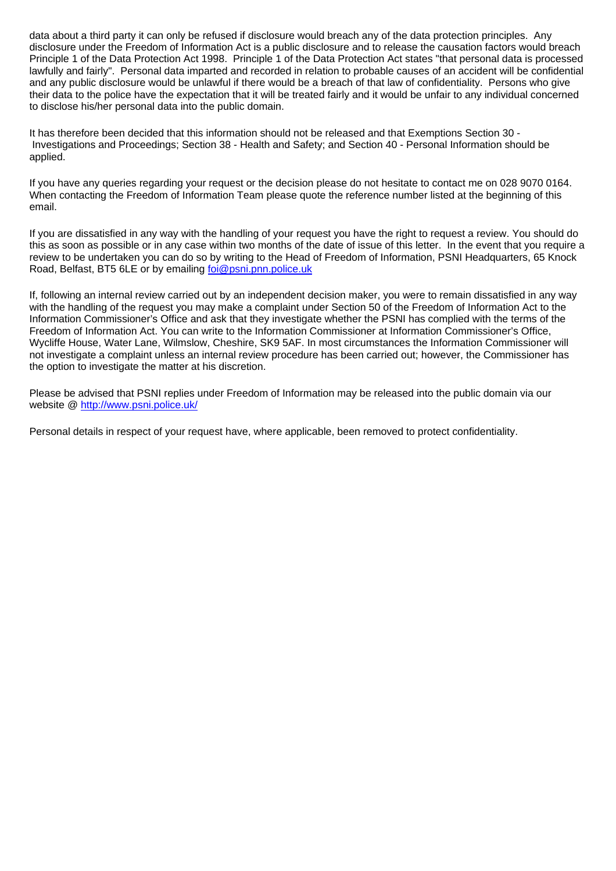data about a third party it can only be refused if disclosure would breach any of the data protection principles. Any disclosure under the Freedom of Information Act is a public disclosure and to release the causation factors would breach Principle 1 of the Data Protection Act 1998. Principle 1 of the Data Protection Act states "that personal data is processed lawfully and fairly". Personal data imparted and recorded in relation to probable causes of an accident will be confidential and any public disclosure would be unlawful if there would be a breach of that law of confidentiality. Persons who give their data to the police have the expectation that it will be treated fairly and it would be unfair to any individual concerned to disclose his/her personal data into the public domain.

It has therefore been decided that this information should not be released and that Exemptions Section 30 - Investigations and Proceedings; Section 38 - Health and Safety; and Section 40 - Personal Information should be applied.

If you have any queries regarding your request or the decision please do not hesitate to contact me on 028 9070 0164. When contacting the Freedom of Information Team please quote the reference number listed at the beginning of this email.

If you are dissatisfied in any way with the handling of your request you have the right to request a review. You should do this as soon as possible or in any case within two months of the date of issue of this letter. In the event that you require a review to be undertaken you can do so by writing to the Head of Freedom of Information, PSNI Headquarters, 65 Knock Road, Belfast, BT5 6LE or by emailing foi@psni.pnn.police.uk

If, following an internal review carried out by an independent decision maker, you were to remain dissatisfied in any way with the handling of the request you may make a complaint under Section 50 of the Freedom of Information Act to the Information Commissioner's Office and ask that they investigate whether the PSNI has complied with the terms of the Freedom of Information Act. You can write to the Information Commissioner at Information Commissioner's Office, Wycliffe House, Water Lane, Wilmslow, Cheshire, SK9 5AF. In most circumstances the Information Commissioner will not investigate a complaint unless an internal review procedure has been carried out; however, the Commissioner has the option to investigate the matter at his discretion.

Please be advised that PSNI replies under Freedom of Information may be released into the public domain via our website @ http://www.psni.police.uk/

Personal details in respect of your request have, where applicable, been removed to protect confidentiality.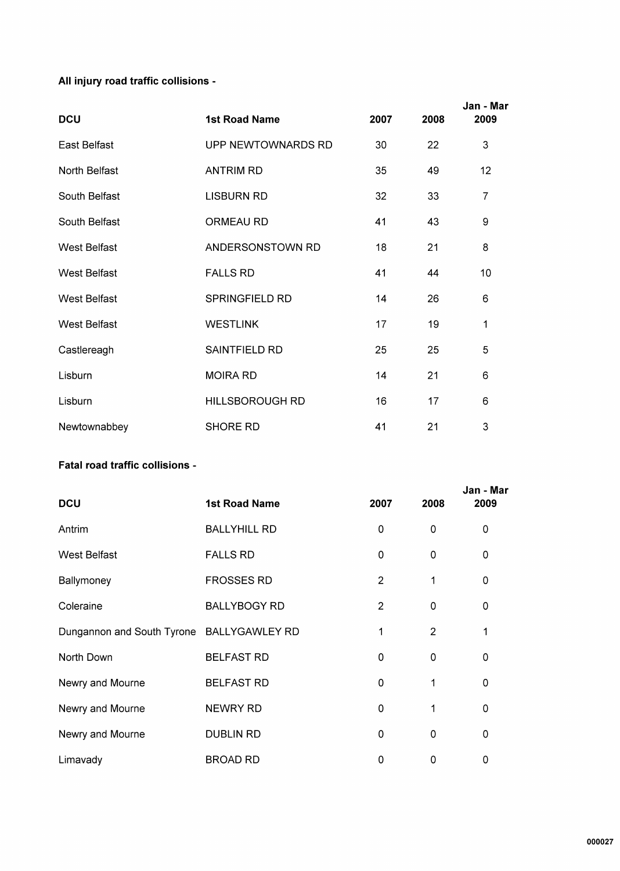### All injury road traffic collisions -

| <b>DCU</b>          | <b>1st Road Name</b>   | 2007 | 2008 | Jan - Mar<br>2009 |
|---------------------|------------------------|------|------|-------------------|
| East Belfast        | UPP NEWTOWNARDS RD     | 30   | 22   | 3                 |
| North Belfast       | <b>ANTRIM RD</b>       | 35   | 49   | 12                |
| South Belfast       | <b>LISBURN RD</b>      | 32   | 33   | $\overline{7}$    |
| South Belfast       | <b>ORMEAU RD</b>       | 41   | 43   | 9                 |
| <b>West Belfast</b> | ANDERSONSTOWN RD       | 18   | 21   | 8                 |
| <b>West Belfast</b> | <b>FALLS RD</b>        | 41   | 44   | 10                |
| <b>West Belfast</b> | <b>SPRINGFIELD RD</b>  | 14   | 26   | $6\phantom{1}$    |
| <b>West Belfast</b> | <b>WESTLINK</b>        | 17   | 19   | 1                 |
| Castlereagh         | SAINTFIELD RD          | 25   | 25   | 5                 |
| Lisburn             | <b>MOIRA RD</b>        | 14   | 21   | 6                 |
| Lisburn             | <b>HILLSBOROUGH RD</b> | 16   | 17   | $\,6$             |
| Newtownabbey        | <b>SHORE RD</b>        | 41   | 21   | 3                 |

#### Fatal road traffic collisions -

| <b>DCU</b>                                | <b>1st Road Name</b> | 2007           | 2008     | Jan - Mar<br>2009 |
|-------------------------------------------|----------------------|----------------|----------|-------------------|
| Antrim                                    | <b>BALLYHILL RD</b>  | 0              | $\Omega$ | 0                 |
| West Belfast                              | <b>FALLS RD</b>      | 0              | 0        | 0                 |
| Ballymoney                                | <b>FROSSES RD</b>    | $\overline{2}$ | 1        | $\mathbf 0$       |
| Coleraine                                 | <b>BALLYBOGY RD</b>  | $\overline{2}$ | 0        | 0                 |
| Dungannon and South Tyrone BALLYGAWLEY RD |                      | 1              | 2        | 1                 |
| North Down                                | <b>BELFAST RD</b>    | 0              | 0        | $\mathbf 0$       |
| Newry and Mourne                          | <b>BELFAST RD</b>    | 0              | 1        | $\mathbf 0$       |
| Newry and Mourne                          | NEWRY RD             | 0              | 1        | 0                 |
| Newry and Mourne                          | <b>DUBLIN RD</b>     | 0              | $\Omega$ | $\mathbf 0$       |
| Limavady                                  | <b>BROAD RD</b>      | 0              | $\Omega$ | 0                 |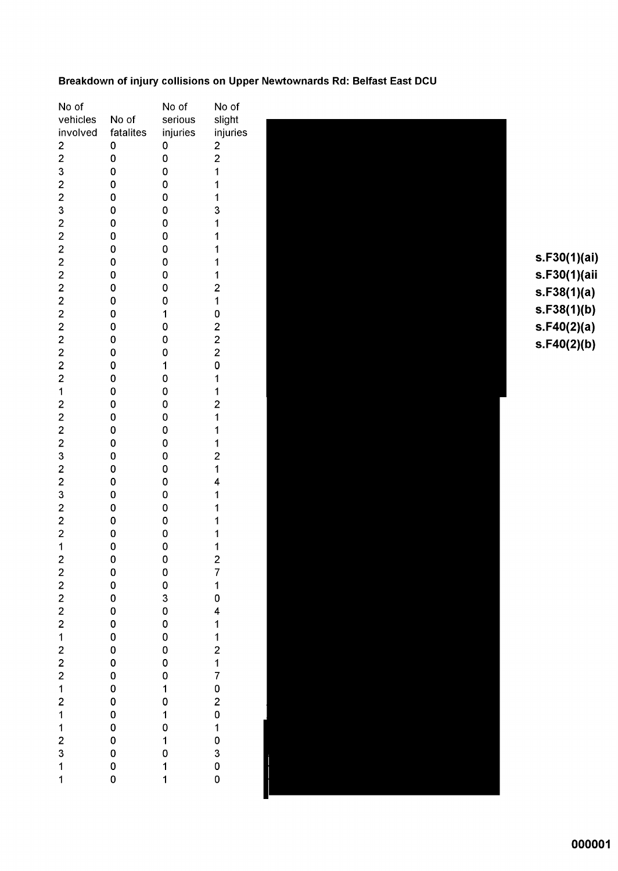#### Breakdown of injury collisions on Upper Newtownards Rd: Belfast East DCU

| No of                   |                       | No of                                           | No of                                           |
|-------------------------|-----------------------|-------------------------------------------------|-------------------------------------------------|
| vehicles                | No of                 | serious                                         | slight                                          |
| involved                | fatalites             | injuries                                        | injurie                                         |
|                         | 0                     | 0                                               |                                                 |
|                         | 0                     | O                                               |                                                 |
|                         | 0                     | 0                                               | 2<br>2<br>1<br>1                                |
|                         | 0                     | 0                                               |                                                 |
|                         | 0                     | 0                                               | $\overline{\mathbf{1}}$                         |
|                         | 0                     | 0                                               | 3                                               |
|                         | 0                     | 0                                               | $\overline{1}$                                  |
|                         | 0                     | 0                                               | 1                                               |
|                         | 0                     | 0                                               | $\overline{\mathbf{1}}$                         |
|                         |                       | 0                                               |                                                 |
|                         | 0                     |                                                 | 1                                               |
|                         | 0                     | O                                               | $\frac{1}{2}$                                   |
|                         | 0                     | 0                                               |                                                 |
|                         | 0                     | 0                                               |                                                 |
|                         | 0                     | 1                                               |                                                 |
|                         | 0                     | 0                                               |                                                 |
|                         | 0                     | 0                                               | 102220                                          |
|                         | 0                     | 0                                               |                                                 |
|                         | 0                     | $\mathbf{1}$                                    |                                                 |
|                         | 0                     | 0                                               | $\mathbf{1}$                                    |
|                         | 0                     | 0                                               | $\frac{1}{2}$                                   |
|                         | 0                     | O                                               |                                                 |
|                         | 0                     | 0                                               | $\overline{1}$                                  |
|                         | O                     | O                                               | $\begin{array}{c} 1 \\ 1 \\ 2 \\ 1 \end{array}$ |
|                         | 0                     | O                                               |                                                 |
|                         | 0                     | 0                                               |                                                 |
|                         | 0                     | 0                                               |                                                 |
|                         | 0                     | 0                                               | 4                                               |
|                         | 0                     | 0                                               | 1                                               |
|                         | 0                     | 0                                               | 1                                               |
|                         | 0                     | 0                                               | 1                                               |
|                         | 0                     | 0                                               | 1                                               |
|                         | 0                     | 0                                               | $\mathbf 1$                                     |
| $\overline{c}$          | $\mathbf{0}$          | $\mathbf 0$                                     |                                                 |
|                         | $\mathbf 0$           |                                                 |                                                 |
|                         | $\mathbf 0$           | $\begin{matrix}0\\0\end{matrix}$                | $\begin{array}{c} 2 \\ 7 \\ 1 \\ 0 \end{array}$ |
|                         | $\mathbf 0$           | 3                                               |                                                 |
|                         | $\mathbf{0}$          | $\mathbf 0$                                     |                                                 |
|                         |                       |                                                 |                                                 |
|                         | $\mathbf 0$           | $\mathbf 0$                                     |                                                 |
|                         | $\mathbf 0$           | $\mathbf{0}$                                    |                                                 |
|                         | $\mathbf 0$           | $\mathbf 0$                                     |                                                 |
|                         | $\mathbf 0$           | $\mathbf{0}$                                    |                                                 |
|                         | $\mathbf 0$           | $\mathbf{0}$                                    |                                                 |
|                         | $\mathbf{0}$          | $\begin{array}{c} 1 \\ 0 \end{array}$           |                                                 |
|                         |                       |                                                 |                                                 |
|                         |                       |                                                 |                                                 |
| 2222212221211231        | 0 0 0<br>0 0 0<br>0 0 | $\begin{array}{c} 1 \\ 0 \\ 1 \\ 0 \end{array}$ | 4112170201030                                   |
|                         |                       |                                                 |                                                 |
|                         |                       |                                                 |                                                 |
|                         |                       | $\begin{array}{c} 1 \\ 1 \end{array}$           |                                                 |
| $\overline{\mathbf{1}}$ | 0                     |                                                 | 0                                               |
|                         |                       |                                                 |                                                 |



 $s.F30(1)(ai)$ s.F30(1)(aii  $s.F38(1)(a)$  $s.F38(1)(b)$  $s.F40(2)(a)$  $s.F40(2)(b)$ 

000001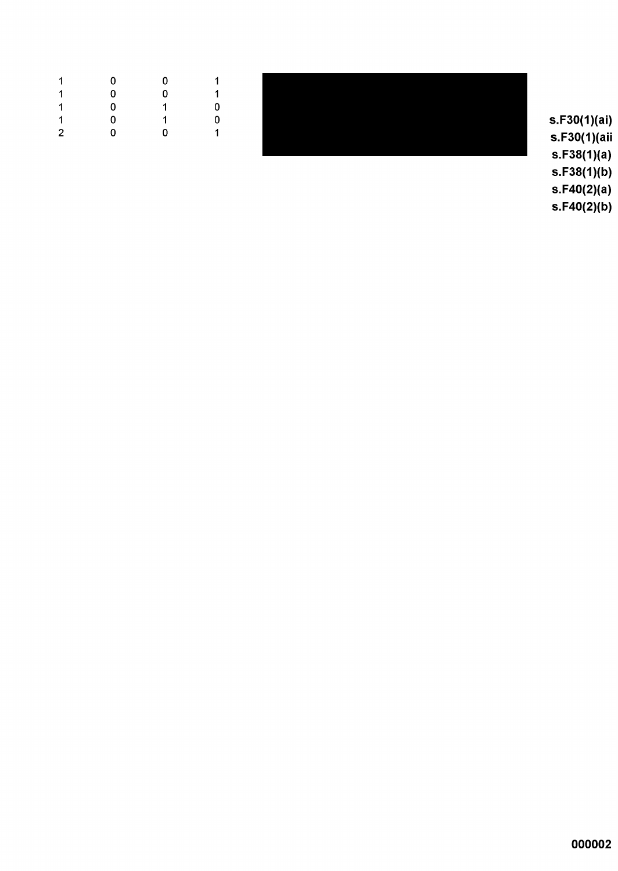| 1                    | $\mathbf{0}$            | 0           |        |
|----------------------|-------------------------|-------------|--------|
| $\blacktriangleleft$ | $\overline{0}$          | $\Omega$    |        |
| $\blacktriangleleft$ | $\overline{\mathbf{0}}$ | $\mathbf 1$ |        |
| $\blacktriangleleft$ | $\mathbf{0}$            | $\sim$ 1    |        |
| $2^{\circ}$          | $\overline{\mathbf{0}}$ | 0           | $\sim$ |
|                      |                         |             |        |

s.F30(1)(ai) s.F30(1)(aii  $s.F38(1)(a)$  $s.F38(1)(b)$ 

 $s.F40(2)(a)$  $s.F40(2)(b)$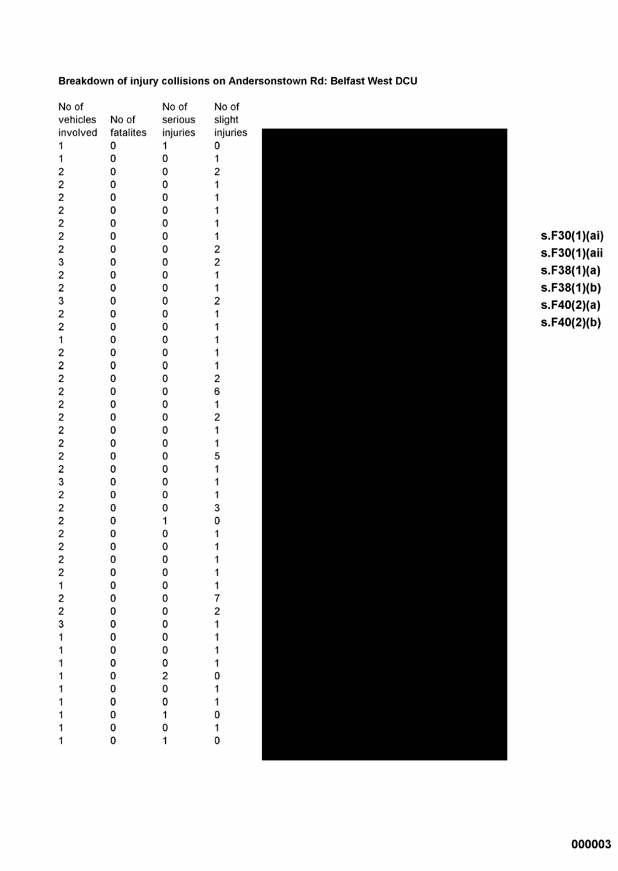### Breakdown of injury collisions on Andersonstown Rd: Belfast West DCU

| No of                                 |              | No of                                           | No of                                           |
|---------------------------------------|--------------|-------------------------------------------------|-------------------------------------------------|
| vehicles                              | No of        | serious                                         | slight                                          |
| involved                              | fatalites    | injuries                                        | injuries                                        |
| 1                                     | 0            | 1                                               | 0                                               |
| $\overline{\mathbf{1}}$               | 0            | O                                               | $\mathbf{1}$                                    |
|                                       | 0            | 0                                               | 211111221121                                    |
| 2222223223                            | 0            | 0                                               |                                                 |
|                                       | 0            | 0                                               |                                                 |
|                                       | 0            | O                                               |                                                 |
|                                       | 0            | O                                               |                                                 |
|                                       | 0            | $\mathbf 0$                                     |                                                 |
|                                       | O            | $\overline{0}$                                  |                                                 |
|                                       | 0            | 0                                               |                                                 |
|                                       | 0            | 0                                               |                                                 |
|                                       | 0            | 0                                               |                                                 |
|                                       | 0            | 0                                               |                                                 |
|                                       | 0            | 0                                               |                                                 |
|                                       | 0            | $\overline{0}$                                  |                                                 |
| 2 2 1 2 2 2 2 2 2 2 2 2 3 2 2 2 2 2 2 | 0            | 0                                               | $\begin{array}{c} 1 \\ 1 \\ 1 \end{array}$      |
|                                       | 0            | 0                                               |                                                 |
|                                       | 0            | 0                                               |                                                 |
|                                       |              | $\overline{0}$                                  |                                                 |
|                                       | 0            |                                                 | 2612115                                         |
|                                       | 0            | $\overline{0}$                                  |                                                 |
|                                       | 0            | 0                                               |                                                 |
|                                       | 0            | 0                                               |                                                 |
|                                       | 0            | 0                                               |                                                 |
|                                       | 0            | 0                                               |                                                 |
|                                       | 0            | 0                                               |                                                 |
|                                       | 0            | 0                                               | $\ddot{\phantom{0}}$                            |
|                                       | 0            | 0                                               | $\begin{array}{c} 1 \\ 1 \\ 3 \\ 0 \end{array}$ |
|                                       | 0            | 0                                               |                                                 |
|                                       | 0            | O                                               |                                                 |
|                                       | 0            | $\mathbf 1$                                     |                                                 |
|                                       | 0            | 0                                               | $\overline{\mathbf{1}}$                         |
|                                       | O            | O                                               | $\overline{\mathbf{1}}$                         |
|                                       | O            | 0                                               | $\overline{\mathbf{1}}$                         |
|                                       | 0            | $\mathbf 0$                                     |                                                 |
|                                       | $\mathbf{0}$ | $\mathbf 0$                                     |                                                 |
|                                       | $\mathbf 0$  | $\mathbf 0$                                     |                                                 |
|                                       |              | $\mathbf 0$                                     |                                                 |
|                                       |              |                                                 |                                                 |
|                                       |              | 0<br>0                                          |                                                 |
|                                       |              |                                                 |                                                 |
|                                       |              |                                                 |                                                 |
|                                       |              | $\begin{array}{c} 0 \\ 0 \\ 2 \\ 0 \end{array}$ |                                                 |
|                                       |              |                                                 |                                                 |
|                                       |              |                                                 |                                                 |
|                                       |              |                                                 |                                                 |
| 21223111111111                        | 0000000000   | $\begin{bmatrix} 0 \\ 1 \\ 0 \end{bmatrix}$     | 11721111011010                                  |
|                                       |              | 1                                               |                                                 |
|                                       |              |                                                 |                                                 |



 $s.F30(1)(ai)$ s.F30(1)(aii  $s.F38(1)(a)$  $s.F38(1)(b)$  $s.F40(2)(a)$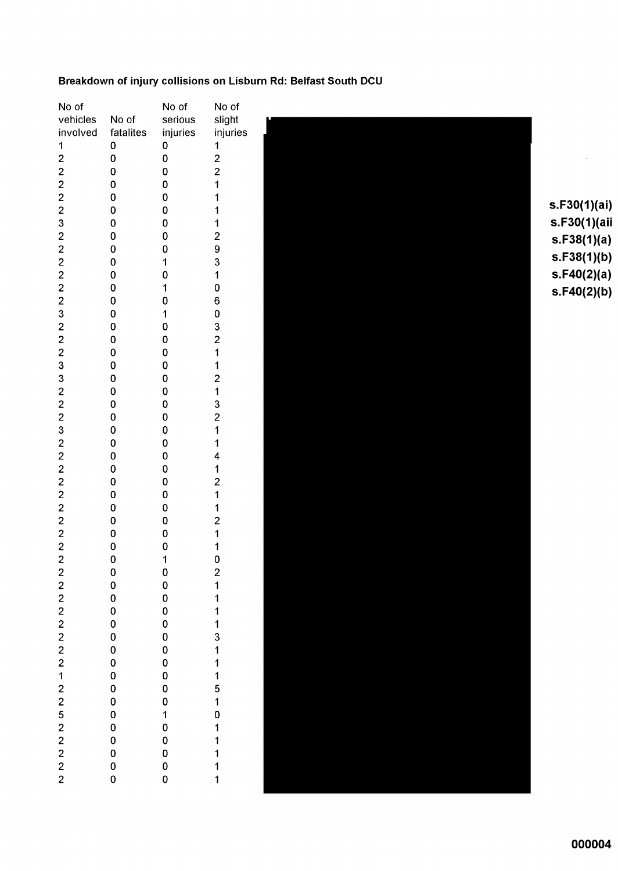### Breakdown of injury collisions on Lisburn Rd: Belfast South DCU

| No of                             |                | No of            | No of                                      |    |
|-----------------------------------|----------------|------------------|--------------------------------------------|----|
| vehicles                          | No of          | serious          | slight                                     |    |
| involved                          | fatalites      | injuries         | injuries                                   |    |
| $\mathbf{1}$                      | $\pmb{0}$      | $\pmb{0}$        | $\mathbf 1$                                |    |
| $\overline{\mathbf{c}}$           | $\pmb{0}$      | $\mathbf 0$      |                                            |    |
|                                   | $\pmb{0}$      | $\pmb{0}$        | $\frac{2}{2}$                              |    |
|                                   |                | $\mathbf 0$      | $\mathbf 1$                                |    |
|                                   | 0              |                  |                                            |    |
|                                   | $\mathbf 0$    | $\mathbf 0$      | 1                                          | S. |
|                                   | $\pmb{0}$      | $\mathbf 0$      | 1                                          |    |
|                                   | $\pmb{0}$      | $\mathbf 0$      |                                            | S, |
|                                   | $\pmb{0}$      | $\mathbf 0$      |                                            | S  |
|                                   | $\mathbf 0$    | $\mathbf 0$      |                                            |    |
| 2223222223                        | $\pmb{0}$      | 1                | 12931                                      | S  |
|                                   | $\pmb{0}$      | $\mathbf 0$      |                                            | S  |
|                                   | $\mathbf 0$    | 1                |                                            |    |
|                                   | $\mathbf 0$    | $\mathbf 0$      |                                            | S  |
|                                   | $\pmb{0}$      | 1                |                                            |    |
|                                   | $\pmb{0}$      | $\pmb{0}$        |                                            |    |
|                                   |                |                  |                                            |    |
| 222332223                         | $\pmb{0}$      | $\mathbf 0$      | 060321                                     |    |
|                                   | $\mathbf 0$    | $\mathbf 0$      |                                            |    |
|                                   | $\pmb{0}$      | $\mathbf 0$      |                                            |    |
|                                   | $\mathbf 0$    | $\mathbf 0$      |                                            |    |
|                                   | $\pmb{0}$      | $\mathbf 0$      |                                            |    |
|                                   | $\pmb{0}$      | 0                | 121321                                     |    |
|                                   | 0              | $\mathbf 0$      |                                            |    |
|                                   | $\pmb{0}$      | $\mathbf 0$      |                                            |    |
|                                   | $\mathbf 0$    | $\mathbf 0$      | 1                                          |    |
| 222222222                         | $\pmb{0}$      | $\mathbf 0$      | 4                                          |    |
|                                   | $\pmb{0}$      | $\pmb{0}$        | $\mathbf{1}$                               |    |
|                                   | 0              | $\mathbf 0$      |                                            |    |
|                                   | $\pmb{0}$      | $\mathbf 0$      | $\begin{array}{c} 2 \\ 1 \end{array}$      |    |
|                                   |                | $\mathbf 0$      |                                            |    |
|                                   | $\pmb{0}$      |                  |                                            |    |
|                                   | $\pmb{0}$      | $\mathbf 0$      | $\begin{array}{c} 1 \\ 2 \\ 1 \end{array}$ |    |
|                                   | $\pmb{0}$      | $\mathbf 0$      |                                            |    |
|                                   | $\mathbf 0$    | $\mathbf 0$      | $\mathbf 1$                                |    |
|                                   | $\mathbf 0$    | 1                | $\overline{0}$                             |    |
|                                   | $\mathbf 0$    |                  |                                            |    |
|                                   |                |                  |                                            |    |
|                                   |                |                  |                                            |    |
|                                   |                |                  |                                            |    |
|                                   |                |                  |                                            |    |
|                                   |                |                  |                                            |    |
|                                   |                |                  |                                            |    |
|                                   |                |                  |                                            |    |
|                                   |                |                  |                                            |    |
|                                   |                |                  |                                            |    |
|                                   |                |                  |                                            |    |
|                                   |                |                  | 2111131115101111                           |    |
|                                   |                |                  |                                            |    |
|                                   |                |                  |                                            |    |
|                                   |                |                  |                                            |    |
|                                   |                |                  |                                            |    |
| 2 2 2 2 2 2 2 2 1 2 2 5 2 2 2 2 2 | 00000000000000 | 0000000000100000 |                                            |    |
|                                   |                |                  | $\mathbf{1}$                               |    |
|                                   |                |                  |                                            |    |

.F30(1)(ai) .F30(1)(aii .F38(1)(a)  $E.S8(1)(b)$ .F40(2)(a)  $5.540(2)(b)$ 

 $\sim$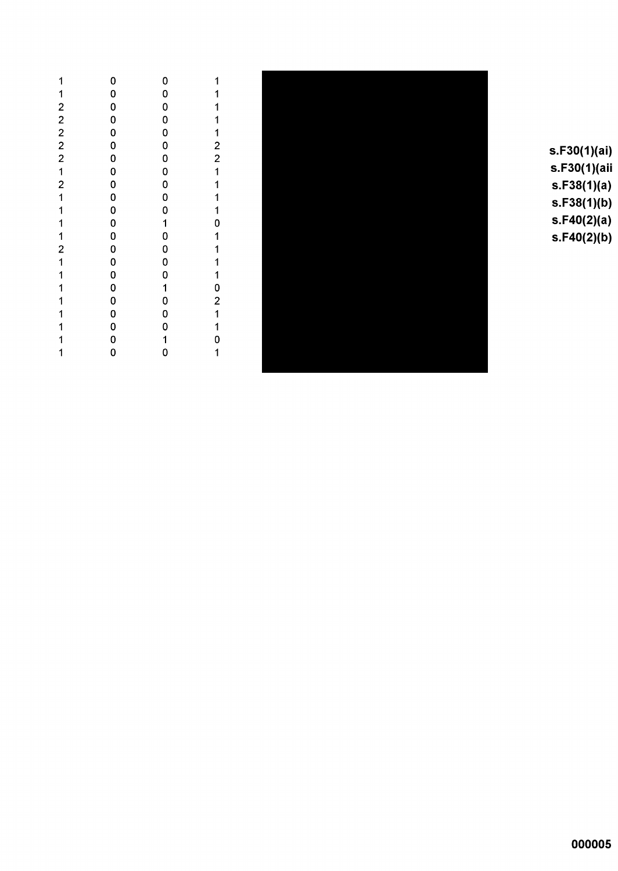|             |                                                                                                                                                                                                                              | 1                                                                                                                                                                                                                                                                                                                                            |
|-------------|------------------------------------------------------------------------------------------------------------------------------------------------------------------------------------------------------------------------------|----------------------------------------------------------------------------------------------------------------------------------------------------------------------------------------------------------------------------------------------------------------------------------------------------------------------------------------------|
|             |                                                                                                                                                                                                                              |                                                                                                                                                                                                                                                                                                                                              |
|             |                                                                                                                                                                                                                              | 1                                                                                                                                                                                                                                                                                                                                            |
|             |                                                                                                                                                                                                                              |                                                                                                                                                                                                                                                                                                                                              |
|             |                                                                                                                                                                                                                              |                                                                                                                                                                                                                                                                                                                                              |
|             |                                                                                                                                                                                                                              |                                                                                                                                                                                                                                                                                                                                              |
|             |                                                                                                                                                                                                                              | 11122                                                                                                                                                                                                                                                                                                                                        |
|             |                                                                                                                                                                                                                              |                                                                                                                                                                                                                                                                                                                                              |
| $\mathbf 0$ |                                                                                                                                                                                                                              |                                                                                                                                                                                                                                                                                                                                              |
|             |                                                                                                                                                                                                                              | 11110111102110                                                                                                                                                                                                                                                                                                                               |
|             |                                                                                                                                                                                                                              |                                                                                                                                                                                                                                                                                                                                              |
|             |                                                                                                                                                                                                                              |                                                                                                                                                                                                                                                                                                                                              |
|             |                                                                                                                                                                                                                              |                                                                                                                                                                                                                                                                                                                                              |
|             |                                                                                                                                                                                                                              |                                                                                                                                                                                                                                                                                                                                              |
|             |                                                                                                                                                                                                                              |                                                                                                                                                                                                                                                                                                                                              |
|             |                                                                                                                                                                                                                              |                                                                                                                                                                                                                                                                                                                                              |
|             |                                                                                                                                                                                                                              |                                                                                                                                                                                                                                                                                                                                              |
|             |                                                                                                                                                                                                                              |                                                                                                                                                                                                                                                                                                                                              |
|             |                                                                                                                                                                                                                              |                                                                                                                                                                                                                                                                                                                                              |
|             |                                                                                                                                                                                                                              |                                                                                                                                                                                                                                                                                                                                              |
|             |                                                                                                                                                                                                                              |                                                                                                                                                                                                                                                                                                                                              |
| 0           |                                                                                                                                                                                                                              |                                                                                                                                                                                                                                                                                                                                              |
|             |                                                                                                                                                                                                                              | $\overline{\mathbf{1}}$                                                                                                                                                                                                                                                                                                                      |
|             | 0<br>O<br>0<br>$\mathbf 0$<br>$\mathbf{0}$<br>$\mathbf 0$<br>$\mathbf 0$<br>0<br>0<br>$\mathbf 0$<br>$\mathbf{0}$<br>0<br>$\mathbf 0$<br>$\mathbf{0}$<br>$\mathbf 0$<br>$\mathbf 0$<br>0<br>$\mathbf 0$<br>$\mathbf{o}$<br>o | $\mathbf 0$<br>0<br>$\mathbf 0$<br>$\mathbf 0$<br>$\mathbf{0}$<br>$\mathbf 0$<br>0<br>0<br>$\mathbf 0$<br>$\mathbf{0}$<br>$\mathbf 0$<br>$\begin{array}{c} 1 \\ 0 \end{array}$<br>$\mathbf 0$<br>$\mathbf{0}$<br>$\mathbf 0$<br>$\begin{array}{c} 1 \\ 0 \end{array}$<br>$\mathbf 0$<br>$\mathbf 0$<br>$\begin{array}{c} 1 \\ 0 \end{array}$ |



 $s.F30(1)(ai)$ s.F30(1)(aii  $s.F38(1)(a)$  $s.F38(1)(b)$  $s.F40(2)(a)$  $s.F40(2)(b)$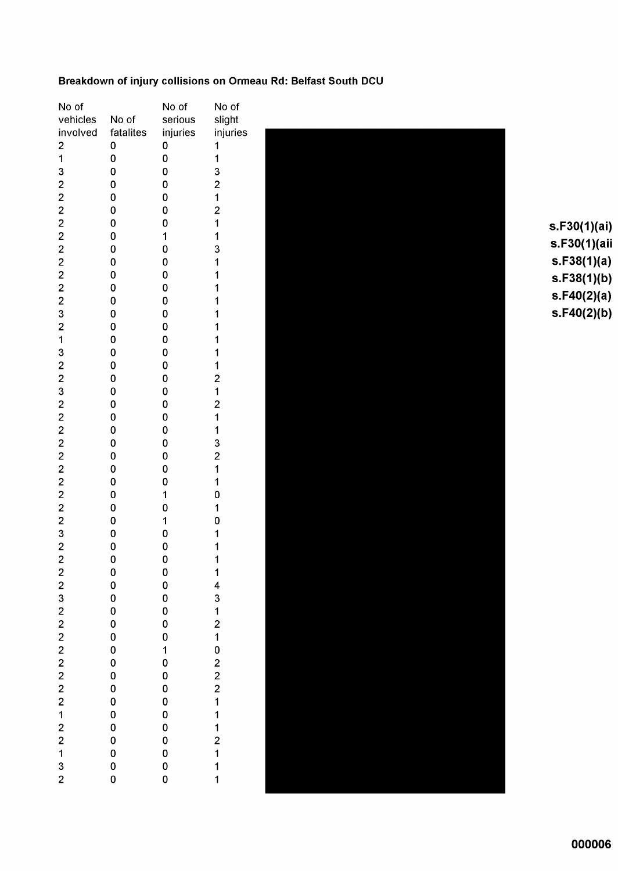### Breakdown of injury collisions on Ormeau Rd: Belfast South DCU

| No of                                 |                       | No of                                      | No of                                           |
|---------------------------------------|-----------------------|--------------------------------------------|-------------------------------------------------|
| vehicles                              | No of                 | serious                                    | slight                                          |
| involved                              | fatalites             | injuries                                   | injurie:                                        |
| $\begin{array}{c} 2 \\ 1 \end{array}$ | 0                     | 0                                          | 1                                               |
|                                       | 0                     | 0                                          | $\overline{\mathbf{1}}$                         |
|                                       | 0                     | 0                                          | 3                                               |
|                                       | 0                     | 0                                          | $\overline{c}$                                  |
|                                       | 0                     | 0                                          |                                                 |
|                                       | 0                     | 0                                          | $\frac{1}{2}$                                   |
|                                       | 0                     | 0                                          | $\overline{\mathbf{1}}$                         |
|                                       | 0                     | 1                                          | 1                                               |
|                                       | 0                     | 0                                          | 3                                               |
|                                       | O                     | 0                                          | 1                                               |
|                                       | 0                     | O                                          | 1                                               |
|                                       | 0                     | 0                                          | $\overline{\mathbf{1}}$                         |
|                                       | 0                     | 0                                          | $\overline{1}$                                  |
|                                       | 0                     | 0                                          | $\overline{\mathbf{1}}$                         |
|                                       | O                     | 0                                          | 1                                               |
|                                       | 0                     | 0                                          | $\overline{\mathbf{1}}$                         |
|                                       | 0                     | 0                                          | $\mathbf 1$                                     |
|                                       | 0                     | 0                                          | 1                                               |
|                                       | 0                     | 0                                          | $\begin{array}{c} 2 \\ 1 \end{array}$           |
|                                       | 0                     | 0                                          |                                                 |
|                                       | 0                     | 0                                          | $\begin{array}{c} 2 \\ 1 \end{array}$           |
|                                       | 0                     | 0                                          |                                                 |
|                                       | 0                     | 0                                          |                                                 |
|                                       | 0                     | 0                                          | $\begin{array}{c} 1 \\ 3 \\ 2 \\ 1 \end{array}$ |
|                                       | 0                     | 0                                          |                                                 |
|                                       | 0                     | 0                                          |                                                 |
|                                       | 0                     | 0                                          | $\overline{\mathbf{1}}$                         |
|                                       | 0                     | 1                                          | 0                                               |
|                                       | 0                     | 0                                          | 1                                               |
|                                       | 0                     | $\mathbf{1}$                               | 0                                               |
|                                       | 0                     | 0                                          | 1                                               |
|                                       | 0                     | 0                                          | $\overline{\mathbf{1}}$                         |
|                                       | 0                     | 0                                          | 1                                               |
|                                       | $\mathbf{0}$          | 0<br>0                                     |                                                 |
|                                       | $\mathbf{O}$          |                                            |                                                 |
|                                       |                       | 0<br>0                                     |                                                 |
|                                       | 0 0 0<br>0 0 0<br>0 0 |                                            |                                                 |
|                                       |                       | $\mathbf 0$                                |                                                 |
|                                       |                       | $\begin{array}{c} 0 \\ 1 \\ 0 \end{array}$ |                                                 |
|                                       |                       |                                            |                                                 |
|                                       | $\mathbf 0$           | $\mathbf 0$                                |                                                 |
|                                       | $\mathbf{O}$          | $\mathbf 0$                                |                                                 |
|                                       |                       | $\mathbf{0}$                               |                                                 |
|                                       |                       |                                            |                                                 |
|                                       |                       |                                            |                                                 |
|                                       |                       | $\begin{matrix}0\0\0\end{matrix}$          |                                                 |
|                                       |                       |                                            |                                                 |
|                                       |                       |                                            |                                                 |
| 2 2 3 2 2 2 2 2 2 2 2 1 2 2 1 3 2     | 0000000               | $\begin{matrix}0\\0\\0\end{matrix}$        | 14312102221112111                               |
|                                       |                       |                                            |                                                 |



 $s.F30(1)(ai)$ s.F30(1)(aii  $s.F38(1)(a)$  $s.F38(1)(b)$  $s.F40(2)(a)$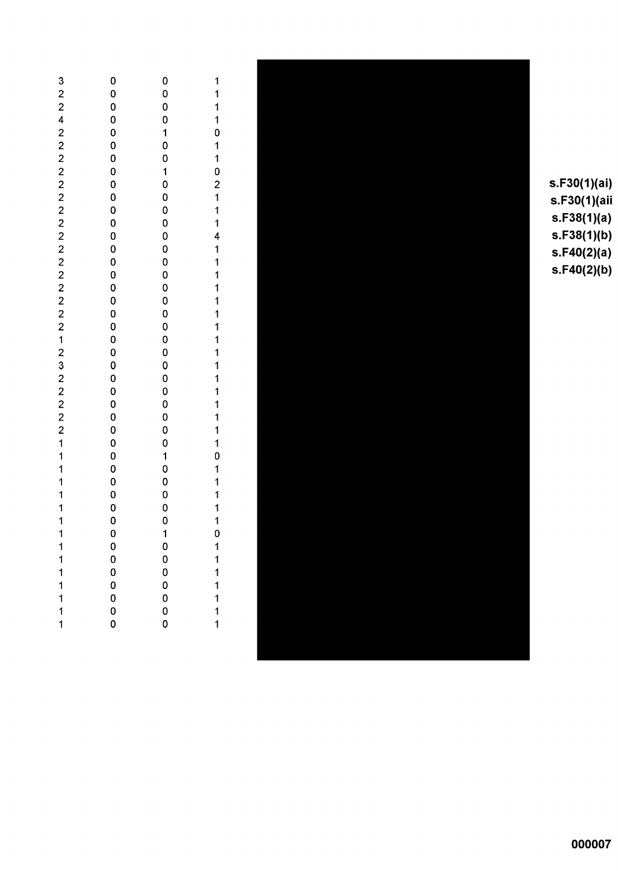| 32242222222222222212322221111111      |             | 0<br>0<br>$\mathbf{0}$<br>$\mathbf{0}$     | 1<br>1       |
|---------------------------------------|-------------|--------------------------------------------|--------------|
|                                       |             | $\begin{array}{c} 1 \\ 0 \\ 0 \end{array}$ |              |
|                                       |             |                                            |              |
|                                       |             |                                            |              |
|                                       |             |                                            |              |
|                                       |             |                                            |              |
|                                       |             |                                            |              |
|                                       |             |                                            |              |
|                                       |             |                                            |              |
|                                       |             |                                            |              |
|                                       |             |                                            |              |
|                                       |             |                                            |              |
|                                       |             |                                            |              |
|                                       |             |                                            |              |
|                                       |             |                                            |              |
|                                       |             |                                            |              |
|                                       |             |                                            |              |
|                                       |             |                                            |              |
|                                       |             |                                            |              |
|                                       |             | $\mathbf 0$                                |              |
|                                       |             |                                            |              |
|                                       |             |                                            |              |
|                                       |             | 10000000                                   |              |
|                                       |             |                                            |              |
|                                       |             |                                            |              |
|                                       | $\mathbf 0$ | $\overline{\mathbf{1}}$                    | $\mathbf{0}$ |
| 1                                     | $\mathbf 0$ | $\mathbf 0$                                | 1            |
| 1                                     | $\mathbf 0$ | $\mathbf 0$                                | 1            |
| 1<br>1                                | 0<br>0      | $\mathbf 0$<br>$\mathbf 0$                 | 1<br>1       |
| 1                                     | $\mathbf 0$ | 0                                          | $\mathbf 1$  |
|                                       | $\mathbf 0$ | 0                                          | 1            |
| $\begin{array}{c} 1 \\ 1 \end{array}$ | 0           | 0                                          | 1            |



s.F30(1)(ai) s.F30(1)(aii  $s.F38(1)(a)$  $s.F38(1)(b)$ s.F40(2)(a)<br>s.F40(2)(b)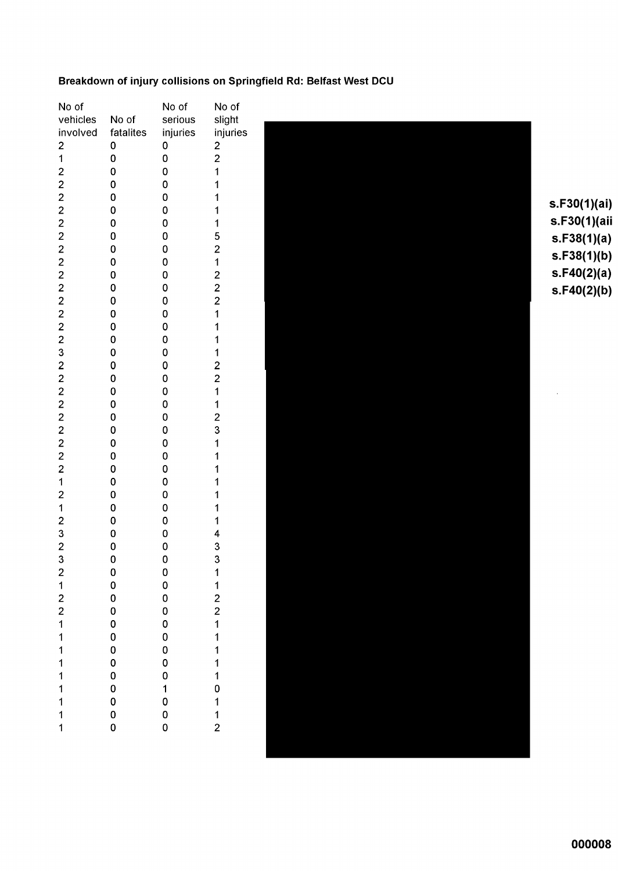### Breakdown of injury collisions on Springfield Rd: Belfast West DCU

| No of                                        |              | No of        | No of                   |              |
|----------------------------------------------|--------------|--------------|-------------------------|--------------|
| vehicles                                     | No of        | serious      | slight                  |              |
| involved                                     | fatalites    | injuries     | injuries                |              |
| $\overline{\mathbf{c}}$                      | 0            | 0            | $\overline{\mathbf{c}}$ |              |
| $\mathbf{1}$                                 | 0            | 0            | $\overline{\mathbf{c}}$ |              |
| $\overline{\mathbf{c}}$                      | 0            | 0            | 1                       |              |
| $\overline{2}$                               | 0            | 0            | 1                       |              |
|                                              | 0            | 0            | 1                       |              |
|                                              | 0            | 0            | 1                       | s.F30(1)(ai) |
| $\begin{array}{c}\n2 \\ 2 \\ 2\n\end{array}$ | 0            | 0            | 1                       | s.F30(1)(aii |
|                                              | 0            | 0            | 5                       | s.F38(1)(a)  |
| $\overline{c}$                               | 0            | 0            | $\overline{\mathbf{c}}$ |              |
| $\overline{\mathbf{c}}$                      | $\mathbf 0$  | 0            | 1                       | s.F38(1)(b)  |
|                                              | 0            | 0            |                         | s.F40(2)(a)  |
| $\frac{2}{2}$                                | 0            | 0            | $\frac{2}{2}$           | s.F40(2)(b)  |
| $\overline{c}$                               | 0            | 0            | $\overline{\mathbf{c}}$ |              |
| $\overline{c}$                               | 0            | 0            | 1                       |              |
| $\overline{\mathbf{c}}$                      | 0            | 0            | 1                       |              |
| $\overline{c}$                               | 0            | 0            | 1                       |              |
| 3                                            | 0            | 0            | 1                       |              |
| $\overline{\mathbf{c}}$                      | 0            | 0            | $\overline{\mathbf{c}}$ |              |
|                                              | 0            | 0            | $\overline{\mathbf{c}}$ |              |
| $\frac{2}{2}$                                | 0            | 0            | 1                       |              |
| $\overline{c}$                               | 0            | 0            | 1                       |              |
| $\overline{\mathbf{c}}$                      | 0            | 0            | $\overline{\mathbf{c}}$ |              |
|                                              | 0            | 0            | 3                       |              |
|                                              | 0            | 0            | 1                       |              |
| $\begin{array}{c} 2 \\ 2 \\ 2 \end{array}$   | 0            | 0            |                         |              |
| $\overline{2}$                               | 0            | 0            |                         |              |
| $\mathbf{1}$                                 | 0            | 0            |                         |              |
| $\overline{\mathbf{c}}$                      | 0            | 0            |                         |              |
| $\overline{1}$                               | 0            |              |                         |              |
|                                              | 0            | 0<br>0       |                         |              |
| $\overline{\mathbf{c}}$                      |              |              | 1                       |              |
| 3                                            | 0            | 0            | 4                       |              |
| $\overline{c}$<br>3                          | 0<br>0       | 0<br>0       | 3<br>3                  |              |
|                                              |              |              |                         |              |
|                                              | $\mathbf{0}$ | $\bf{0}$     | 1                       |              |
|                                              | $\mathbf 0$  | 0            |                         |              |
|                                              | 0000000000   | 0            | 122111110112            |              |
|                                              |              | $\mathbf 0$  |                         |              |
|                                              |              | $\mathbf 0$  |                         |              |
|                                              |              | $\mathbf{0}$ |                         |              |
|                                              |              | $\mathbf 0$  |                         |              |
|                                              |              | $\mathbf 0$  |                         |              |
|                                              |              | 0 1 0 0 0 0  |                         |              |
|                                              |              |              |                         |              |
|                                              |              |              |                         |              |
| 2122111111111111                             |              |              |                         |              |
|                                              |              |              |                         |              |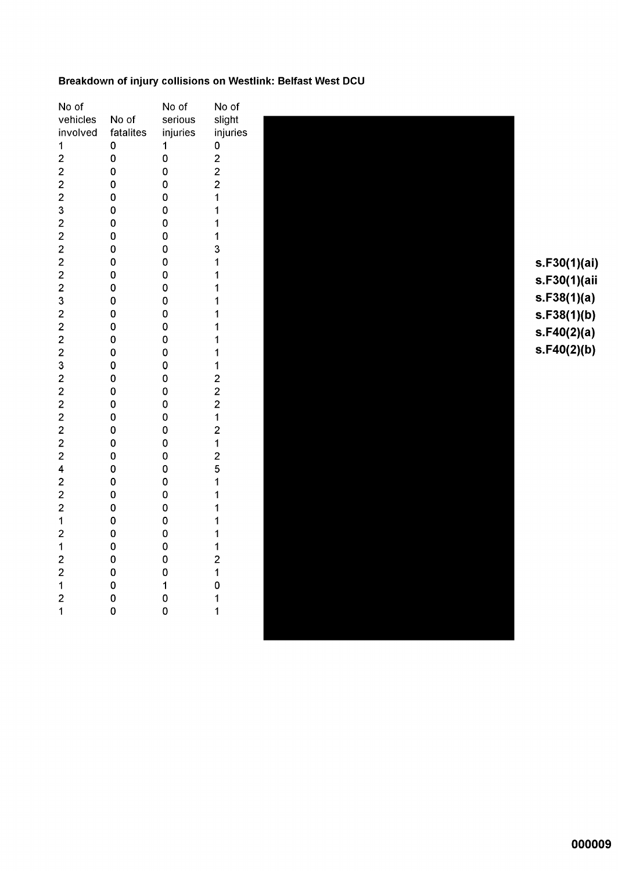#### Breakdown of injury collisions on Westlink: Belfast West DCU

 $s.F30(1)(ai)$ s.F30(1)(aii  $s.F38(1)(a)$  $s.F38(1)(b)$  $s.F40(2)(a)$  $s.F40(2)(b)$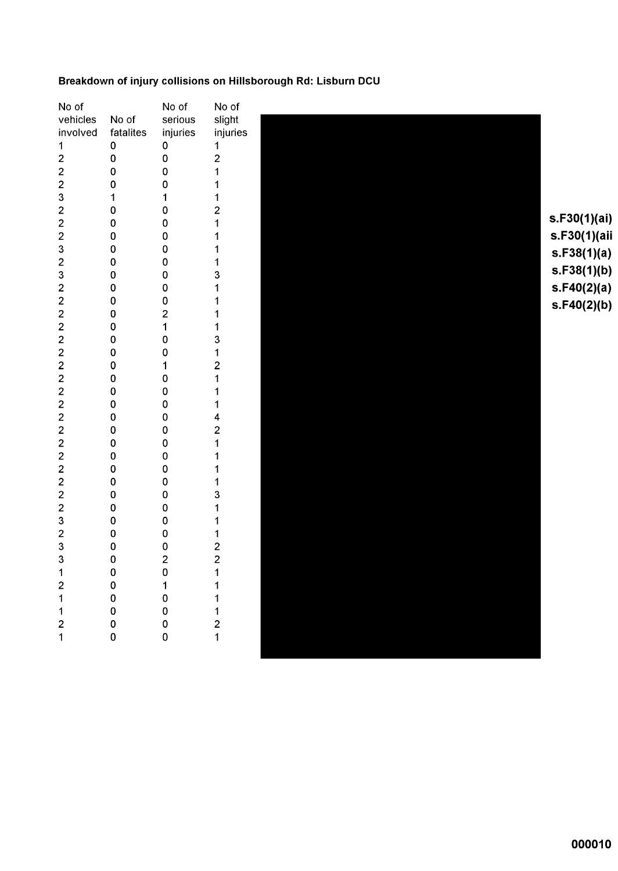### Breakdown of injury collisions on Hillsborough Rd: Lisburn DCU

| No of                   |             | No of                            | No of                                      |
|-------------------------|-------------|----------------------------------|--------------------------------------------|
| vehicles                | No of       | serious                          | slight                                     |
| involved                | fatalites   | injuries                         | injuries                                   |
| 1                       | $\pmb{0}$   | $\pmb{0}$                        | 1                                          |
| $\mathbf 2$             | 0           | $\mathbf 0$                      | $\overline{\mathbf{c}}$                    |
| $\overline{\mathbf{c}}$ | 0           | 0                                | 1                                          |
| $\overline{2}$          | 0           | 0                                | 1                                          |
| $\mathsf 3$             | 1           | 1                                | 1                                          |
| $\overline{\mathbf{c}}$ | 0           | 0                                | $\overline{\mathbf{c}}$                    |
| $\overline{c}$          | 0           | 0                                | 1                                          |
| $\mathbf 2$             | 0           | 0                                | 1                                          |
| 3                       | 0           | 0                                | 1                                          |
| $\mathbf 2$             | $\mathbf 0$ | 0                                | 1                                          |
| 3                       | $\mathbf 0$ | 0                                | 3                                          |
| $\overline{\mathbf{c}}$ | $\pmb{0}$   | 0                                | 1                                          |
| $\overline{\mathbf{c}}$ | $\mathbf 0$ | 0                                |                                            |
| $\overline{a}$          | $\mathbf 0$ | $\mathbf 2$                      | 1                                          |
| $\overline{c}$          | 0           | $\mathbf 1$                      | 1                                          |
| $\overline{c}$          | $\pmb{0}$   | 0                                | 3                                          |
| $\overline{c}$          | $\mathbf 0$ | 0                                | 1                                          |
| $\overline{\mathbf{c}}$ | 0           | 1                                | $\overline{\mathbf{c}}$                    |
| $\overline{2}$          | $\mathbf 0$ | 0                                | 1                                          |
| $\overline{c}$          | 0           | 0                                | 1                                          |
| $\overline{\mathbf{c}}$ | 0           | 0                                | 1                                          |
| $\overline{\mathbf{c}}$ | $\mathbf 0$ | 0                                | 4                                          |
| $\overline{\mathbf{c}}$ | $\mathbf 0$ | 0                                | $\overline{\mathbf{c}}$                    |
| $\overline{c}$          | $\mathbf 0$ | $\mathbf 0$                      | 1                                          |
| $\overline{c}$          | $\mathbf 0$ | $\mathbf 0$                      | 1                                          |
| $\overline{\mathbf{c}}$ | 0           | 0                                | 1                                          |
| $\overline{c}$          | 0           | 0                                | 1                                          |
| $\overline{\mathbf{c}}$ | $\mathbf 0$ | 0                                | 3                                          |
| $\overline{c}$          | 0           | 0                                | 1                                          |
| $\mathbf{3}$            | 0           | 0                                | 1                                          |
| $\overline{\mathbf{c}}$ | 0           | 0                                | 1                                          |
| 3                       | 0           | 0                                | $\frac{2}{2}$                              |
| 3                       | $\pmb{0}$   | $\overline{c}$                   |                                            |
|                         |             | $\begin{matrix}0\\1\end{matrix}$ | 1                                          |
| 121121                  |             |                                  | 1                                          |
|                         |             | $\mathbf{0}$                     | $\mathbf{1}$                               |
|                         |             | $\mathbf 0$                      |                                            |
|                         | 00000       | $\begin{matrix}0\\0\end{matrix}$ | $\begin{array}{c} 1 \\ 2 \\ 1 \end{array}$ |
|                         |             |                                  |                                            |
|                         |             |                                  |                                            |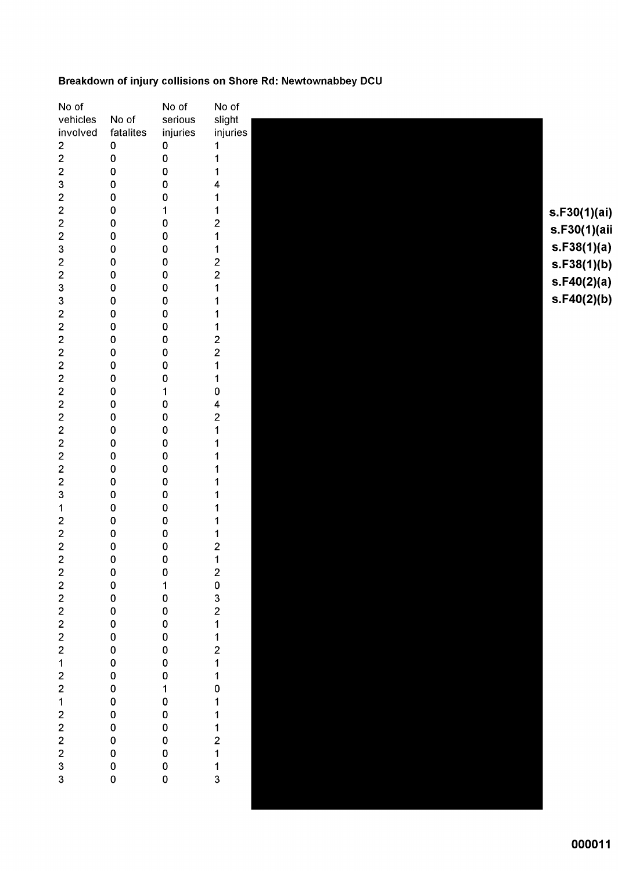### Breakdown of injury collisions on Shore Rd: Newtownabbey DCU

| No of                             |                | No of                                      | No of                   |
|-----------------------------------|----------------|--------------------------------------------|-------------------------|
| vehicles                          | No of          | serious                                    | slight                  |
| involved                          | fatalites      | injuries                                   | injuries                |
| $\overline{\mathbf{c}}$           | $\pmb{0}$      | $\pmb{0}$                                  | 1                       |
| $\overline{c}$                    | 0              | $\pmb{0}$                                  | 1                       |
| $\overline{\mathbf{c}}$           | 0              | $\mathbf 0$                                |                         |
| 3                                 | 0              | 0                                          | 4                       |
| $\overline{\mathbf{c}}$           | 0              | 0                                          |                         |
|                                   | 0              | 1                                          | 1                       |
| $\frac{2}{2}$                     | 0              | $\pmb{0}$                                  | 2                       |
| $\overline{\mathbf{c}}$           | 0              | $\pmb{0}$                                  | 1                       |
| 3                                 | 0              | 0                                          | 1                       |
|                                   | 0              | $\pmb{0}$                                  |                         |
| $\frac{2}{2}$                     | 0              | 0                                          | $\frac{2}{2}$           |
| 3                                 | 0              | 0                                          | 1                       |
| 3                                 | 0              | 0                                          |                         |
| $\overline{\mathbf{c}}$           | 0              | 0                                          |                         |
| $\overline{\mathbf{c}}$           | 0              | 0                                          | 1                       |
| $\overline{\mathbf{c}}$           | 0              | 0                                          | $\overline{\mathbf{c}}$ |
| $\overline{c}$                    | 0              | 0                                          | $\overline{2}$          |
| $\overline{\mathbf{c}}$           | 0              | 0                                          | 1                       |
| $\overline{c}$                    | 0              | 0                                          | 1                       |
| $\frac{2}{2}$                     | 0              | 1                                          | 0                       |
|                                   | 0              | 0                                          | 4                       |
| $\overline{\mathbf{c}}$           | 0              | 0                                          | $\overline{\mathbf{c}}$ |
| $\overline{\mathbf{c}}$           | 0              | 0                                          | 1                       |
| $\overline{\mathbf{c}}$           | 0              | 0                                          | 1                       |
| $\overline{c}$                    | 0              | 0                                          |                         |
| $\overline{\mathbf{c}}$           | 0              | $\mathbf 0$                                |                         |
| $\overline{\mathbf{c}}$           | 0              | 0                                          |                         |
| 3                                 | 0              | 0                                          |                         |
| 1                                 | 0              | $\pmb{0}$                                  |                         |
| $\overline{\mathbf{c}}$           | 0              | $\pmb{0}$                                  |                         |
| $\overline{\mathbf{c}}$           | 0              | $\pmb{0}$                                  | 1                       |
| $\overline{c}$                    | 0              | $\pmb{0}$                                  | 2                       |
| $\overline{c}$                    | 0              | 0                                          | 1                       |
|                                   |                | $\mathbf 0$                                |                         |
|                                   |                | $\mathbf{1}$                               |                         |
|                                   |                | $\mathbf 0$                                |                         |
|                                   |                | $\mathbf 0$                                |                         |
|                                   |                | $\mathbf{0}$                               |                         |
|                                   |                | $\begin{array}{c} 0 \\ 0 \\ 0 \end{array}$ |                         |
|                                   |                |                                            |                         |
|                                   |                |                                            |                         |
|                                   |                |                                            |                         |
|                                   |                |                                            |                         |
|                                   |                | 0 1 0 0 0 0                                |                         |
|                                   |                |                                            |                         |
|                                   |                |                                            |                         |
|                                   |                | $\mathbf 0$                                |                         |
|                                   |                |                                            |                         |
| 2 2 2 2 2 2 2 1 2 2 1 2 2 2 2 3 3 | 00000000000000 | 0<br>0                                     | 20321121101112113       |
|                                   |                | $\overline{0}$                             |                         |
|                                   |                |                                            |                         |
|                                   |                |                                            |                         |

000011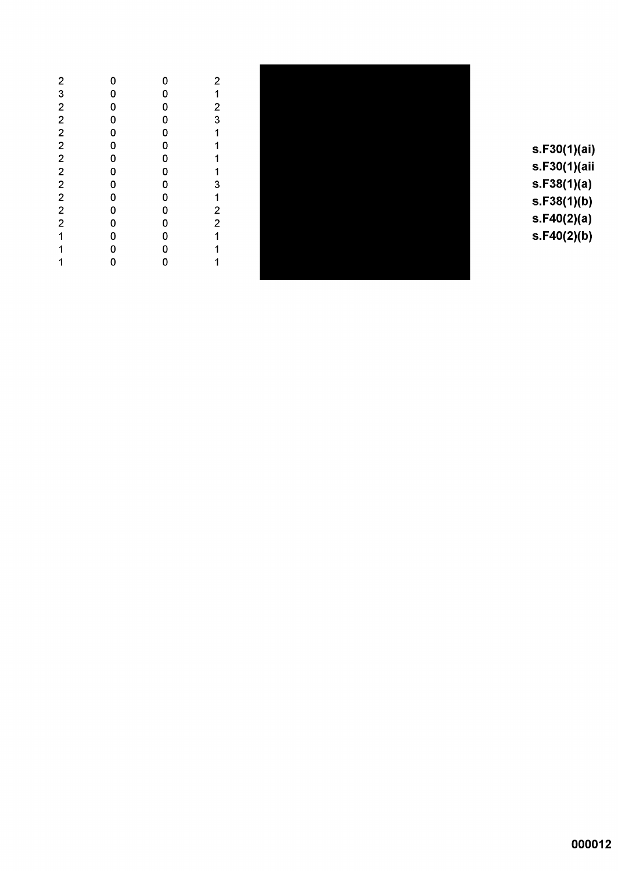|              | 0           | 0                                   | 2                                          |
|--------------|-------------|-------------------------------------|--------------------------------------------|
| 232222222221 | $\mathbf 0$ | 0                                   |                                            |
|              |             | $\mathbf 0$                         | $\begin{array}{c} 1 \\ 2 \\ 3 \end{array}$ |
|              | 0000000000  | $\mathbf 0$                         |                                            |
|              |             | $\mathbf 0$                         | $\mathbf 1$                                |
|              |             | $\mathbf 0$                         |                                            |
|              |             | $\mathbf 0$                         | $\begin{array}{c} 1 \\ 1 \end{array}$      |
|              |             | $\mathbf 0$                         | 1                                          |
|              |             |                                     |                                            |
|              |             | $\begin{matrix}0\\0\\0\end{matrix}$ |                                            |
|              |             |                                     | 31221                                      |
|              |             |                                     |                                            |
|              |             | 0<br>0                              |                                            |
| 1            | 0           | $\mathbf 0$                         | $\begin{array}{c} 1 \\ 1 \end{array}$      |
| 1            | o           | $\overline{0}$                      |                                            |
|              |             |                                     |                                            |



s.F30(1)(ai) s.F30(1)(aii  $s.F38(1)(a)$  $s.F38(1)(b)$  $s.F40(2)(a)$  $s.F40(2)(b)$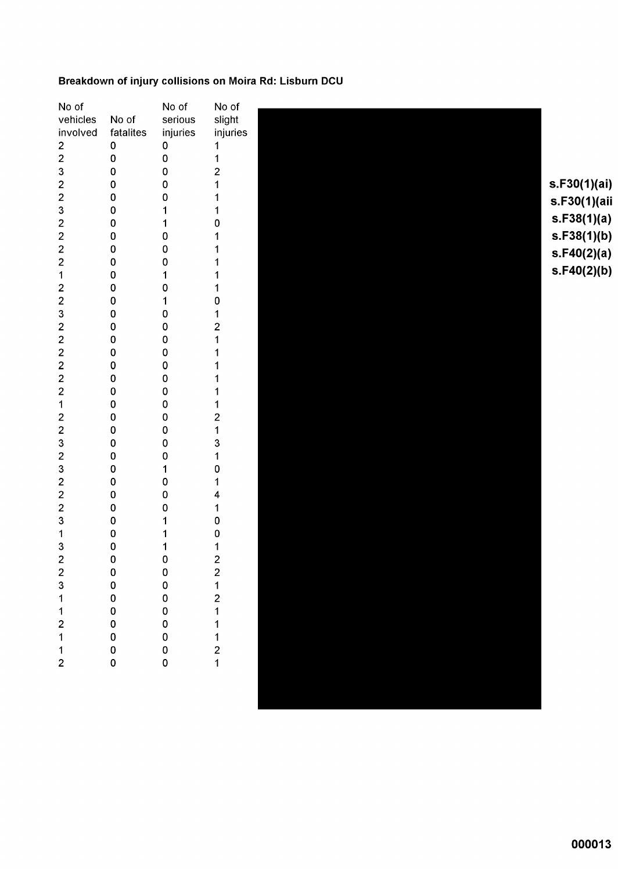### Breakdown of injury collisions on Moira Rd: Lisburn DCU

| No of<br>vehicles<br>involved<br>$\frac{2}{2}$<br>3<br>$\overline{c}$<br>$\overline{\mathbf{c}}$<br>3<br>$\overline{\mathbf{c}}$<br>$\overline{c}$<br>$\overline{2}$<br>$\overline{c}$<br>$\mathbf{1}$<br>$\overline{\mathbf{c}}$<br>$\overline{2}$<br>3<br>$\overline{c}$<br>$\overline{c}$<br>$\overline{\mathbf{c}}$<br>$\overline{\mathbf{c}}$<br>$\overline{\mathbf{c}}$<br>$\overline{c}$<br>$\mathbf{1}$<br>$\overline{2}$<br>$\overline{\mathbf{c}}$<br>3<br>$\overline{c}$<br>3<br>$\overline{c}$<br>$\overline{\mathbf{c}}$<br>$\overline{\mathbf{c}}$<br>3<br>$\mathbf{1}$<br>3<br>2231121 | No of<br>fatalites<br>$\pmb{0}$<br>0<br>0<br>0<br>$\pmb{0}$<br>0<br>0<br>0<br>$\pmb{0}$<br>$\pmb{0}$<br>$\pmb{0}$<br>0<br>0<br>0<br>0<br>0<br>0<br>0<br>0<br>$\pmb{0}$<br>$\pmb{0}$<br>$\mathbf 0$<br>$\pmb{0}$<br>0<br>$\pmb{0}$<br>0<br>0<br>$\pmb{0}$<br>0<br>0<br>0<br>$\pmb{0}$<br>000000000 | No of<br>serious<br>injuries<br>$\pmb{0}$<br>$\pmb{0}$<br>0<br>0<br>0<br>1<br>1<br>$\pmb{0}$<br>0<br>0<br>$\mathbf{1}$<br>0<br>1<br>0<br>0<br>0<br>0<br>$\pmb{0}$<br>0<br>$\pmb{0}$<br>0<br>$\mathbf 0$<br>$\pmb{0}$<br>0<br>0<br>1<br>0<br>$\pmb{0}$<br>0<br>1<br>000000000 | No of<br>slight<br>injuries<br>1<br>1<br>$\overline{\mathbf{c}}$<br>1<br>1<br>0<br>0<br>1<br>2<br>1<br>$\overline{\mathbf{c}}$<br>1<br>3<br>1<br>0<br>1<br>4<br>1<br>0<br>0<br>1<br>$22121$<br>$11121$ | s.F30(1)(ai)<br>s.F30(1)(aii<br>s.F38(1)(a)<br>s.F38(1)(b)<br>s.F40(2)(a)<br>s.F40(2)(b) |
|-------------------------------------------------------------------------------------------------------------------------------------------------------------------------------------------------------------------------------------------------------------------------------------------------------------------------------------------------------------------------------------------------------------------------------------------------------------------------------------------------------------------------------------------------------------------------------------------------------|---------------------------------------------------------------------------------------------------------------------------------------------------------------------------------------------------------------------------------------------------------------------------------------------------|------------------------------------------------------------------------------------------------------------------------------------------------------------------------------------------------------------------------------------------------------------------------------|--------------------------------------------------------------------------------------------------------------------------------------------------------------------------------------------------------|------------------------------------------------------------------------------------------|
|                                                                                                                                                                                                                                                                                                                                                                                                                                                                                                                                                                                                       |                                                                                                                                                                                                                                                                                                   |                                                                                                                                                                                                                                                                              |                                                                                                                                                                                                        |                                                                                          |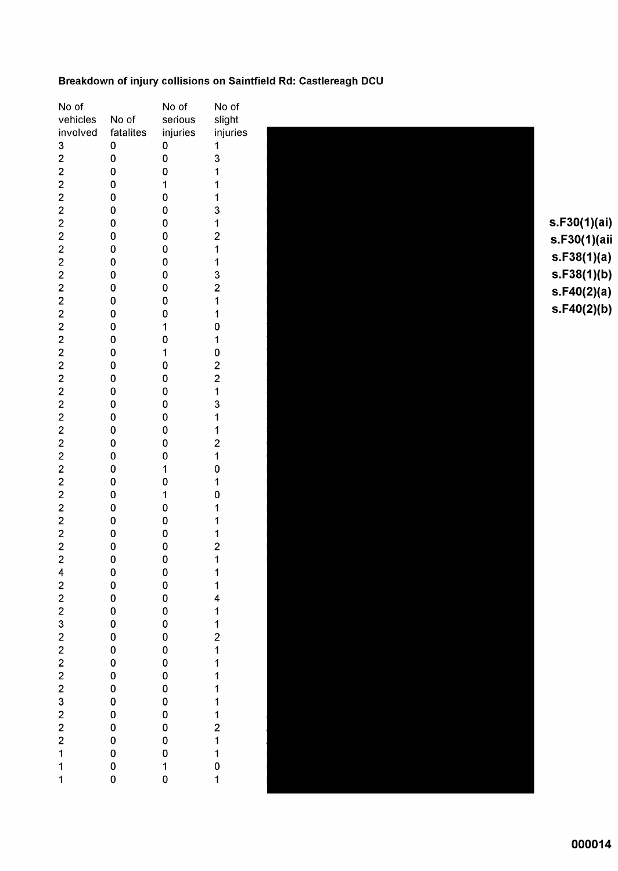### Breakdown of injury collisions on Saintfield Rd: Castlereagh DCU

| No of                         |                  | No of                   | No of                                      |
|-------------------------------|------------------|-------------------------|--------------------------------------------|
| vehicles                      | No of            | serious                 | slight                                     |
| involved                      | fatalites        | injuries                | injuries                                   |
| 3                             | 0                | 0                       | 1                                          |
|                               | 0                | O                       | 3                                          |
|                               | 0                | O                       | 1                                          |
|                               |                  |                         |                                            |
|                               | 0                | $\mathbf{1}$            | $\overline{\mathbf{1}}$                    |
|                               | O                | 0                       | $\mathbf{1}$                               |
|                               | 0                | O                       | 3                                          |
|                               | 0                | 0                       | $\ddot{\phantom{0}}$                       |
|                               | 0                | 0                       | $\overline{c}$                             |
|                               | 0                | 0                       | 1                                          |
|                               | O                | 0                       | 1                                          |
|                               | 0                | 0                       | 3                                          |
|                               | 0                | 0                       | $\overline{c}$                             |
|                               | 0                | 0                       | $\overline{\mathbf{1}}$                    |
|                               | 0                | 0                       | 1                                          |
|                               | O                | 1                       | 0                                          |
|                               | 0                | 0                       | $\mathbf{1}$                               |
|                               | 0                | $\mathbf{1}$            | 0                                          |
|                               | 0                | 0                       |                                            |
|                               | 0                | 0                       | $\begin{array}{c} 2 \\ 2 \\ 1 \end{array}$ |
|                               |                  |                         |                                            |
|                               | 0                | 0                       |                                            |
|                               | 0                | 0                       | 3                                          |
|                               | 0                | 0                       | $\mathbf{1}$                               |
|                               | 0                | 0                       | $\overline{\mathbf{1}}$                    |
|                               | 0                | 0                       | $\overline{\mathbf{c}}$                    |
|                               | 0                | 0                       | $\ddot{\phantom{0}}$                       |
|                               | 0                | $\overline{\mathbf{1}}$ | 0                                          |
|                               | 0                | 0                       | 1                                          |
|                               | 0                | $\overline{\mathbf{1}}$ | 0                                          |
|                               | 0                | O                       | 1                                          |
|                               | 0                | 0                       | $\begin{array}{c} 1 \\ 1 \\ 2 \end{array}$ |
|                               | 0                | 0                       |                                            |
|                               | 0                | 0                       |                                            |
|                               | 0                | 0                       | $\overline{\mathbf{1}}$                    |
| 4                             | $\mathbf 0$      | 0                       | 1                                          |
|                               | 0                | 0                       | 1                                          |
|                               | 0                | $\mathbf 0$             |                                            |
|                               | $\mathbf 0$      |                         |                                            |
|                               |                  |                         |                                            |
|                               | 0<br>0<br>0<br>0 | 0 0 0<br>0 0 0<br>0 0   | 41121111                                   |
|                               |                  |                         |                                            |
|                               |                  |                         |                                            |
|                               | $\mathbf{o}$     |                         |                                            |
|                               | $\mathbf 0$      | $\mathbf 0$             |                                            |
|                               |                  |                         |                                            |
|                               | $\mathbf 0$      | $\mathbf 0$             | $\mathbf 1$                                |
|                               | $\mathbf 0$      | $\mathbf 0$             |                                            |
|                               | $\mathbf 0$      | $\mathbf 0$             |                                            |
|                               |                  |                         |                                            |
| 2 2 2 3 2 2 2 2 2 3 2 2 2 1 1 | 0<br>0<br>0      |                         | 12110                                      |
|                               |                  | 0<br>0<br>1<br>0        |                                            |
| $\overline{\mathbf{1}}$       | 0                |                         | $\overline{\mathbf{1}}$                    |



 $s.F30(1)(ai)$ s.F30(1)(aii  $s.F38(1)(a)$  $s.F38(1)(b)$  $s.F40(2)(a)$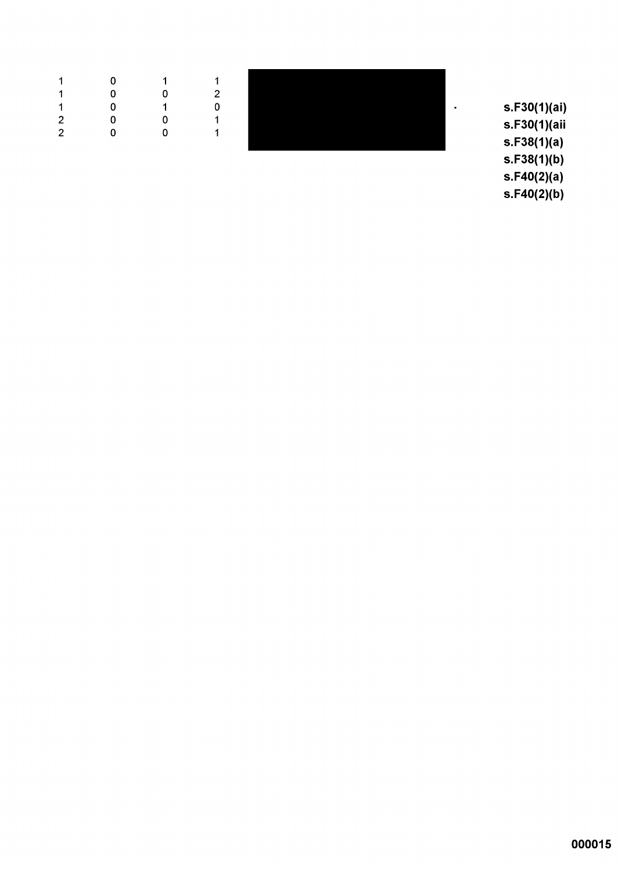| $-1$           |                                     | 0 1 1                                        |                            |  |
|----------------|-------------------------------------|----------------------------------------------|----------------------------|--|
| $\mathbf 1$    |                                     | $\overline{0}$ $\overline{0}$ $\overline{0}$ | $\overline{\phantom{0}}^2$ |  |
|                |                                     | $1 \t 0 \t 1$                                | - 0                        |  |
|                | $2 \qquad \qquad 0 \qquad \qquad 0$ |                                              | - 1                        |  |
| $\overline{2}$ | $\overline{0}$                      | $\overline{\mathbf{0}}$                      |                            |  |

s.F30(1)(ai) s.F30(1)(aii  $s.F38(1)(a)$  $s.F38(1)(b)$  $s.F40(2)(a)$ 

 $\bar{\phantom{a}}$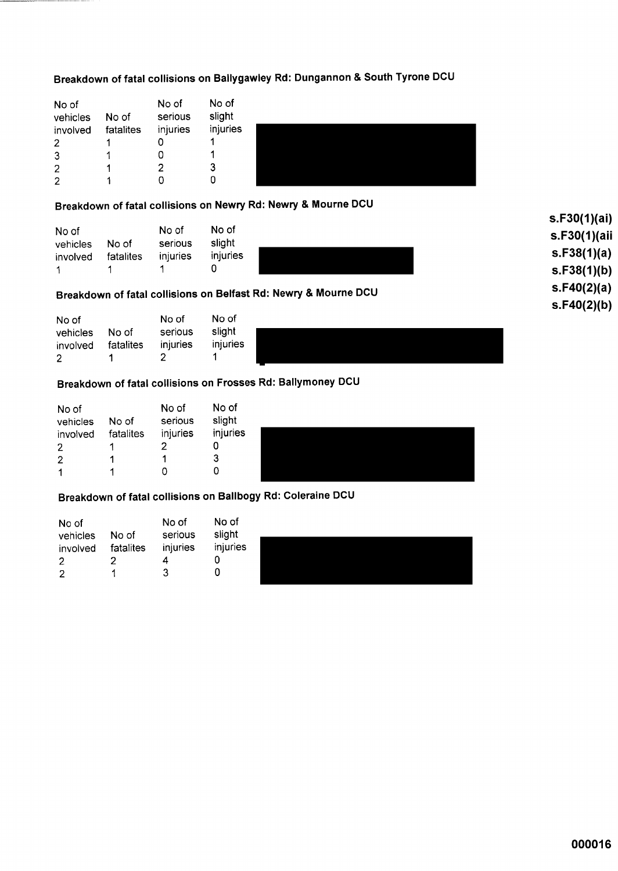## Breakdown of fatal collisions on Ballygawley Rd: Dungannon & South Tyrone DCU

| No of    |           | No of    | No of    |
|----------|-----------|----------|----------|
| vehicles | No of     | serious  | slight   |
| involved | fatalites | injuries | injuries |
| 2        |           |          |          |
| 3        |           | ი        |          |
| 2        |           | 2        | 3        |
|          |           |          |          |



### Breakdown of fatal collisions on Newry Rd: Newry & Mourne DCU

| No of    |           | No of    | No of    |
|----------|-----------|----------|----------|
| vehicles | No of     | serious  | slight   |
| involved | fatalites | injuries | injuries |
|          |           |          | O        |

## Breakdown of fatal collisions on Belfast Rd: Newry & Mourne DCU

| No of    |           | No of    | No of    |  |
|----------|-----------|----------|----------|--|
| vehicles | No of     | serious  | slight   |  |
| involved | fatalites | injuries | injuries |  |
| - 2      |           |          |          |  |



## Breakdown of fatal collisions on Frosses Rd: Ballymoney DCU

| No of<br>vehicles | No of     | No of<br>serious | No of<br>slight |  |
|-------------------|-----------|------------------|-----------------|--|
| involved          | fatalites | injuries         | injuries        |  |
| $\overline{2}$    |           |                  | U               |  |
| $\overline{2}$    |           |                  | 3               |  |
| 1                 |           |                  |                 |  |

## Breakdown of fatal collisions on Ballbogy Rd: Coleraine DCU

| No of<br>vehicles | No of     | No of<br>serious | No of<br>slight |  |
|-------------------|-----------|------------------|-----------------|--|
| involved          | fatalites | injuries         | injuries        |  |
| $\overline{2}$    |           | 4                |                 |  |
| 2                 |           | ີ                |                 |  |
|                   |           |                  |                 |  |

 $s.F30(1)(ai)$ s.F30(1)(aii  $s.F38(1)(a)$  $S.F38(1)(b)$  $s.F40(2)(a)$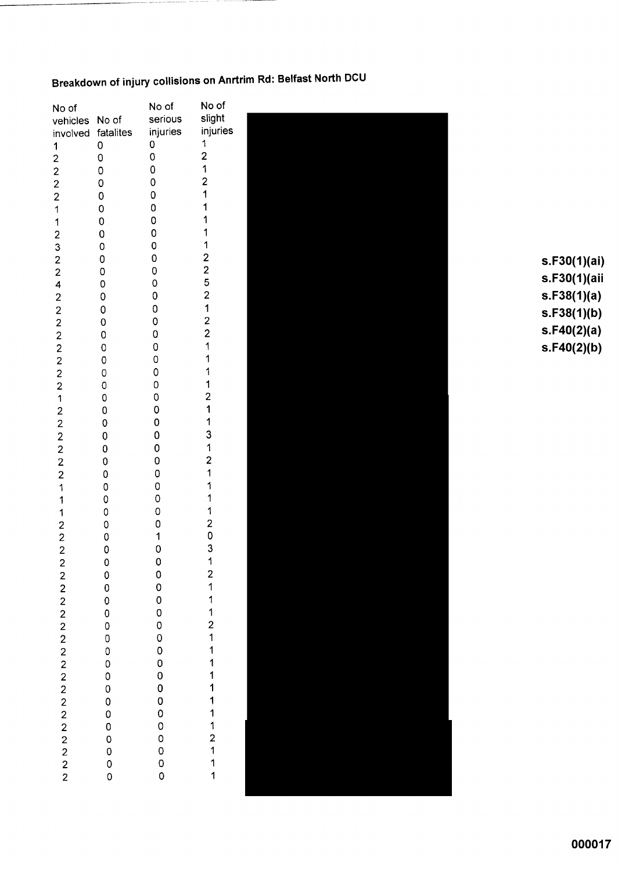# Breakdown of injury collisions on Anrtrim Rd: Belfast North DCU

| No of                                      |                     | No of               | No of                                           |              |
|--------------------------------------------|---------------------|---------------------|-------------------------------------------------|--------------|
| vehicles                                   | No of               | serious             | slight                                          |              |
| involved                                   | fatalites           | injuries            | injuries                                        |              |
| 1                                          | $\mathsf{O}\xspace$ | 0                   | 1                                               |              |
| $\overline{\mathbf{c}}$                    | $\mathsf 0$         | $\mathsf O$         | $\overline{\mathbf{c}}$                         |              |
|                                            | $\mathsf O$         | $\pmb{0}$           | 1                                               |              |
| $\frac{2}{2}$                              | $\mathbf 0$         | $\mathsf{O}\xspace$ | $\overline{\mathbf{c}}$                         |              |
| $\overline{\mathbf{c}}$                    | 0                   | $\mathbf 0$         |                                                 |              |
| 1                                          | 0                   | $\mathbf 0$         |                                                 |              |
| 1                                          | $\mathbf 0$         | $\mathsf O$         |                                                 |              |
| $\overline{\mathbf{c}}$                    | $\mathbf 0$         | 0                   |                                                 |              |
| 3                                          | $\mathbf 0$         | 0                   |                                                 |              |
| $\overline{c}$                             | 0                   | $\mathbf 0$         |                                                 | s.F30(1)(ai) |
| $\overline{c}$                             | 0                   | 0                   | $\begin{array}{c} 2 \\ 2 \\ 5 \\ 2 \end{array}$ |              |
| 4                                          | 0                   | 0                   |                                                 | s.F30(1)(aii |
| $\mathbf{2}$                               | 0                   | 0                   |                                                 | s.F38(1)(a)  |
|                                            | 0                   | 0                   | 1                                               | s.F38(1)(b)  |
|                                            | 0                   | 0                   |                                                 |              |
|                                            | $\mathbf 0$         | 0                   | $\frac{2}{2}$                                   | s.F40(2)(a)  |
| 2 2 2 2 2 2 2                              | $\mathbf 0$         | 0                   | 1                                               | s.F40(2)(b)  |
|                                            | 0                   | 0                   |                                                 |              |
|                                            | $\mathbf 0$         | 0                   | 1                                               |              |
|                                            | $\mathbf 0$         | $\mathbf 0$         | 1                                               |              |
| 1                                          | $\mathbf 0$         | 0                   | $\overline{\mathbf{c}}$                         |              |
|                                            | $\mathbf 0$         | 0                   | 1                                               |              |
|                                            | $\pmb{\mathsf{O}}$  | $\mathbf 0$         |                                                 |              |
|                                            | $\pmb{0}$           | $\pmb{0}$           | 3                                               |              |
| $2222$<br>$222$                            | 0                   | 0                   | 1                                               |              |
|                                            | $\pmb{0}$           | 0                   | $\overline{\mathbf{c}}$                         |              |
|                                            | 0                   | 0                   | 1                                               |              |
| $\mathbf 1$                                | $\pmb{0}$           | 0                   | 1                                               |              |
| 1                                          | $\pmb{0}$           | $\mathbf 0$         |                                                 |              |
| 1                                          | 0                   | $\mathsf O$         | 1                                               |              |
|                                            | 0                   | 0                   |                                                 |              |
| $\begin{array}{c} 2 \\ 2 \\ 2 \end{array}$ | 0                   | 1                   | $\begin{array}{c} 2 \\ 0 \\ 3 \end{array}$      |              |
|                                            | 0                   | 0                   |                                                 |              |
| $\overline{\mathbf{c}}$                    | 0                   | $\overline{0}$      | $\overline{1}$                                  |              |
|                                            |                     | $\circ$             |                                                 |              |
|                                            |                     |                     |                                                 |              |
|                                            |                     |                     |                                                 |              |
|                                            |                     |                     |                                                 |              |
|                                            |                     |                     |                                                 |              |
|                                            |                     |                     |                                                 |              |
|                                            |                     |                     |                                                 |              |
|                                            |                     |                     |                                                 |              |
|                                            |                     |                     |                                                 |              |
|                                            |                     |                     |                                                 |              |
|                                            |                     |                     |                                                 |              |
|                                            |                     |                     |                                                 |              |
|                                            |                     |                     |                                                 |              |
|                                            |                     |                     |                                                 |              |
| 2 2 2 2 2 2 2 2 2 2 2 2 2 2 2 2 2 2        | 0000000000000       | 0000000000000       | 21112111111112111                               |              |
|                                            |                     |                     |                                                 |              |
|                                            |                     |                     |                                                 |              |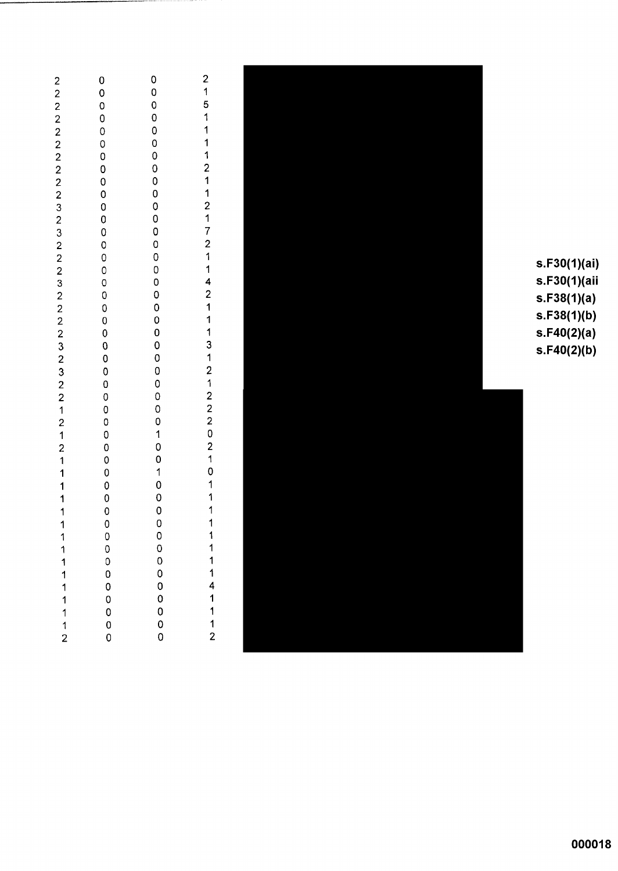| $\begin{array}{c} 2 \\ 2 \\ 2 \\ 2 \end{array}$ | $\mathbf 0$                    | 0                                          | $\begin{array}{c} 2 \\ 1 \end{array}$ |              |
|-------------------------------------------------|--------------------------------|--------------------------------------------|---------------------------------------|--------------|
|                                                 | $\mathbf 0$                    | 0                                          |                                       |              |
|                                                 | $\mathbf 0$                    | 0<br>0                                     | 5<br>1                                |              |
|                                                 | 0<br>0                         | $\mathbf 0$                                | 1                                     |              |
|                                                 | 0                              | 0                                          | 1                                     |              |
|                                                 | 0                              | $\mathbf 0$                                | 1                                     |              |
|                                                 | 0                              | $\mathbf 0$                                | $\overline{\mathbf{c}}$               |              |
|                                                 | $\mathbf 0$                    | $\mathbf 0$                                | 1                                     |              |
|                                                 | $\mathbf 0$                    | $\mathbf 0$                                | 1                                     |              |
|                                                 | $\mathbf 0$                    | $\pmb{0}$                                  | $\overline{\mathbf{c}}$               |              |
|                                                 | $\overline{0}$                 | $\mathbf 0$                                | 1                                     |              |
|                                                 | $\mathbf 0$                    | $\mathbf 0$<br>$\mathbf 0$                 | 7<br>$\overline{c}$                   |              |
|                                                 | $\circ$<br>$\mathsf{O}\xspace$ | $\pmb{0}$                                  | 1                                     |              |
|                                                 | 0                              | $\mathbf 0$                                | 1                                     | s.F30(1)(ai) |
| 2 2 2 2 2 2 3 2 3 2 2 2 3                       | 0                              | $\mathbf 0$                                | 4                                     | s.F30(1)(aii |
|                                                 | 0                              | $\mathbf 0$                                | $\overline{\mathbf{c}}$               | s.F38(1)(a)  |
| $22223$<br>$323$                                | 0                              | $\pmb{0}$                                  | 1                                     |              |
|                                                 | 0                              | $\mathbf 0$                                | 1                                     | s.F38(1)(b)  |
|                                                 | $\bf{0}$                       | $\pmb{0}$                                  | 1                                     | s.F40(2)(a)  |
|                                                 | $\mathbf 0$                    | $\mathbf 0$<br>$\mathbf 0$                 | 3<br>1                                | s.F40(2)(b)  |
|                                                 | $\bf{0}$<br>0                  | $\pmb{0}$                                  | $\overline{\mathbf{c}}$               |              |
| $\overline{c}$                                  | $\bf{0}$                       | $\mathbf 0$                                | 1                                     |              |
| $\overline{2}$                                  | $\mathbf 0$                    | $\mathbf 0$                                |                                       |              |
| $\mathbf 1$                                     | $\mathbf 0$                    | $\mathbf 0$                                | $\frac{2}{2}$                         |              |
| $\mathbf 2$                                     | 0                              | $\mathbf 0$                                | $\overline{\mathbf{c}}$               |              |
| $\ddot{\phantom{1}}$                            | $\mathbf 0$                    | $\mathbf 1$                                | 0                                     |              |
| $\overline{\mathbf{c}}$                         | 0                              | $\mathbf 0$                                | $\overline{\mathbf{c}}$               |              |
| 1                                               | 0<br>0                         | $\mathbf 0$<br>1                           | $\mathbf{1}$<br>0                     |              |
| 1<br>1                                          | 0                              | $\mathbf 0$                                |                                       |              |
| 1                                               | 0                              |                                            |                                       |              |
| 1                                               | $\mathbf 0$                    | $\begin{array}{c} 0 \\ 0 \\ 0 \end{array}$ |                                       |              |
| 1                                               | 0                              |                                            | 1                                     |              |
| 1                                               | $\circ$                        | $\mathbf 0$                                |                                       |              |
| 1                                               |                                | $\mathbf 0$                                |                                       |              |
| 1                                               |                                | $\mathbf 0$                                | 1<br>1                                |              |
| 1                                               |                                |                                            |                                       |              |
| 1<br>$\mathbf 1$                                |                                |                                            | $\begin{array}{c} 4 \\ 1 \end{array}$ |              |
| 1                                               |                                |                                            | $\overline{1}$                        |              |
| $\ddagger$                                      | 000000                         | 00000                                      | $\begin{array}{c} 1 \\ 2 \end{array}$ |              |
| $\overline{2}$                                  |                                |                                            |                                       |              |
|                                                 |                                |                                            |                                       |              |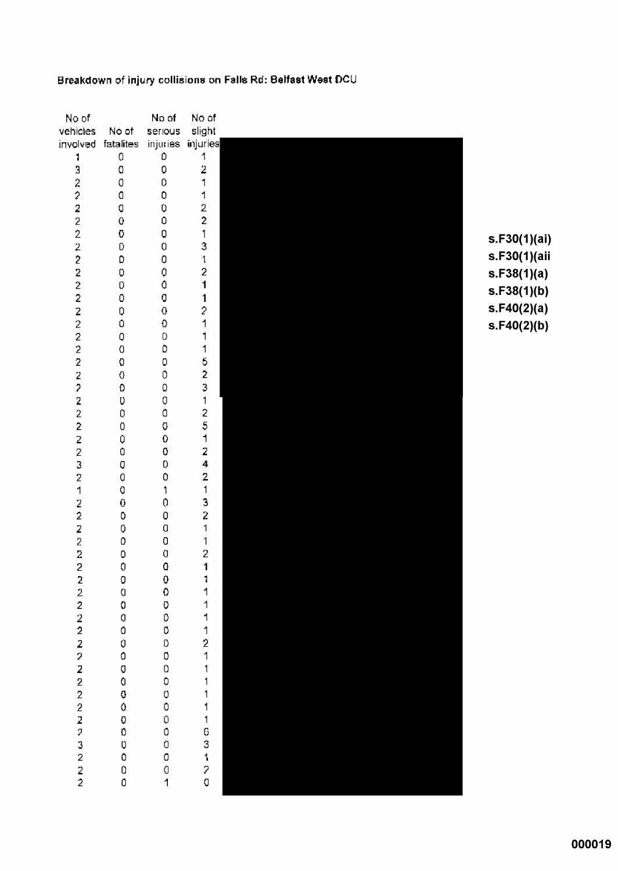## Breakdown of injury collisions on Falls Rd: Belfast West DCU

| No of                                        |                            | No of              | No of                                      |              |
|----------------------------------------------|----------------------------|--------------------|--------------------------------------------|--------------|
| vehicles                                     | No of                      | serious            | slight                                     |              |
| involved                                     | fatalites                  | injuries.          | injuries                                   |              |
| 1                                            | 0                          | Ď                  | 1                                          |              |
| 3                                            | $\bf{0}$                   | $\overline{0}$     | 2                                          |              |
|                                              | Q                          | D                  | 1                                          |              |
|                                              | $\bf{0}$                   | O                  | 1                                          |              |
| $\begin{array}{c}\n2 \\ 2 \\ 2\n\end{array}$ | $\bf 0$                    | Û                  | $\frac{2}{2}$                              |              |
|                                              | 0                          | $\mathbf 0$        |                                            |              |
| $\overline{2}$                               | $\bf C$                    | 0                  | 1                                          | s.F30(1)(ai) |
| $\bar{z}$                                    | 0                          | O                  | 3                                          |              |
| $\overline{\mathbf{c}}$                      | D                          | $\hbox{O}$         | $\mathbf{1}$                               | s.F30(1)(aii |
| $\overline{\mathbf{2}}$                      | $\mathbf 0$                | Û                  | $\overline{\mathbf{c}}$                    | s.F38(1)(a)  |
| $\overline{2}$                               | 0                          | $\mathbf 0$        | 1                                          | s.F38(1)(b)  |
| $\overline{z}$                               | 0                          | O                  | 1                                          |              |
| $\frac{2}{2}$                                | 0                          | $\pmb{0}$          | $\overline{\mathcal{E}}$                   | s.F40(2)(a)  |
|                                              | 0                          | $\Omega$           | 1                                          | s.F40(2)(b)  |
| $\overline{2}$                               | 0                          | $\mathbf D$        | 1                                          |              |
| $\overline{c}$                               | $\mathbf 0$                | $\mathsf D$        | 1                                          |              |
| $\overline{2}$                               | $\mathbf 0$                | $\mathbf 0$        | $\begin{array}{c} 5 \\ 2 \\ 3 \end{array}$ |              |
| $\frac{2}{2}$                                | $\mathbf 0$                | $\pmb{0}$          |                                            |              |
|                                              | $\mathbf{O}$               | $\mathbf 0$        | $\mathbf{1}$                               |              |
| $\overline{\mathbf{z}}$                      | $\mathbf 0$                | Q                  |                                            |              |
| $\bar{2}$<br>$\overline{c}$                  | $\bullet$                  | O                  | 2<br>5                                     |              |
|                                              | $\boldsymbol{0}$           | Q<br>$\pmb{0}$     | 1                                          |              |
| $\overline{z}$<br>$\overline{c}$             | $\mathbb O$<br>$\mathbf 0$ | $\boldsymbol{0}$   | 2                                          |              |
| 3                                            | Q                          | 0                  | $\overline{\mathbf{4}}$                    |              |
| $\overline{2}$                               | $\bullet$                  | $\mathbf 0$        | 2                                          |              |
| 1                                            | $\mathbf 0$                | 1                  | $\mathbf{1}$                               |              |
|                                              | $\mathbf 0$                | $\mathfrak{0}$     | 3                                          |              |
| $\frac{2}{2}$                                | Ū                          | $\mathbf 0$        | $\overline{\mathbf{c}}$                    |              |
| $\overline{\mathbf{z}}$                      | Ũ                          | $\hbox{\bf C}$     | 1                                          |              |
| $\overline{\bf 2}$                           | Ď                          | $\hbox{O}$         | 1                                          |              |
| 2                                            | 0                          | Ū                  | $\overline{c}$                             |              |
| $\overline{c}$                               | Ċ                          | Q                  | 1                                          |              |
|                                              |                            |                    | 1                                          |              |
|                                              |                            |                    |                                            |              |
|                                              |                            |                    |                                            |              |
|                                              |                            |                    |                                            |              |
|                                              |                            |                    |                                            |              |
|                                              |                            |                    |                                            |              |
|                                              |                            |                    |                                            |              |
|                                              |                            |                    |                                            |              |
|                                              |                            |                    |                                            |              |
|                                              |                            |                    |                                            |              |
|                                              |                            |                    |                                            |              |
|                                              |                            |                    |                                            |              |
|                                              |                            |                    |                                            |              |
|                                              |                            |                    |                                            |              |
| 2222222222223222                             |                            | 000000000000000001 | 1111211111163120                           |              |
|                                              |                            |                    |                                            |              |
|                                              |                            |                    |                                            |              |